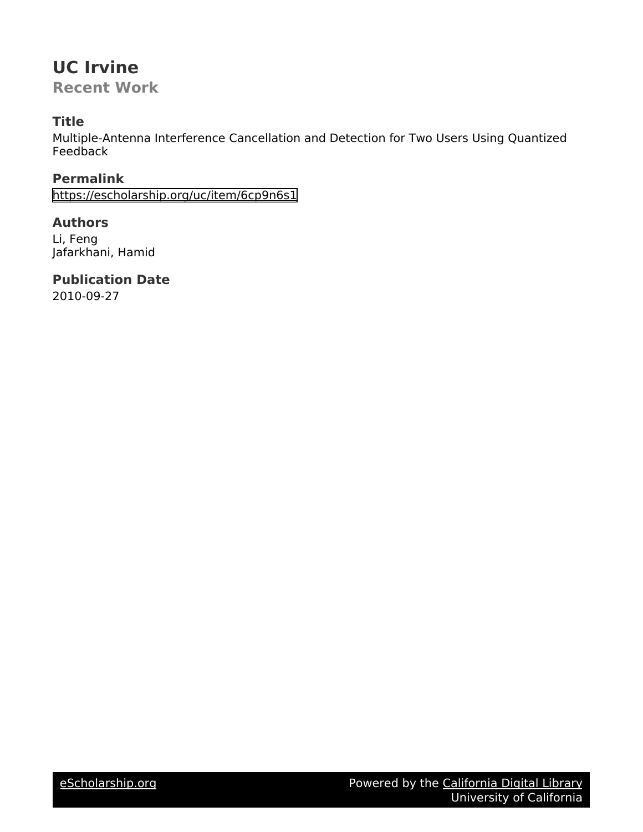## **UC Irvine**

**Recent Work**

### **Title**

Multiple-Antenna Interference Cancellation and Detection for Two Users Using Quantized Feedback

**Permalink** <https://escholarship.org/uc/item/6cp9n6s1>

**Authors** Li, Feng Jafarkhani, Hamid

**Publication Date**

2010-09-27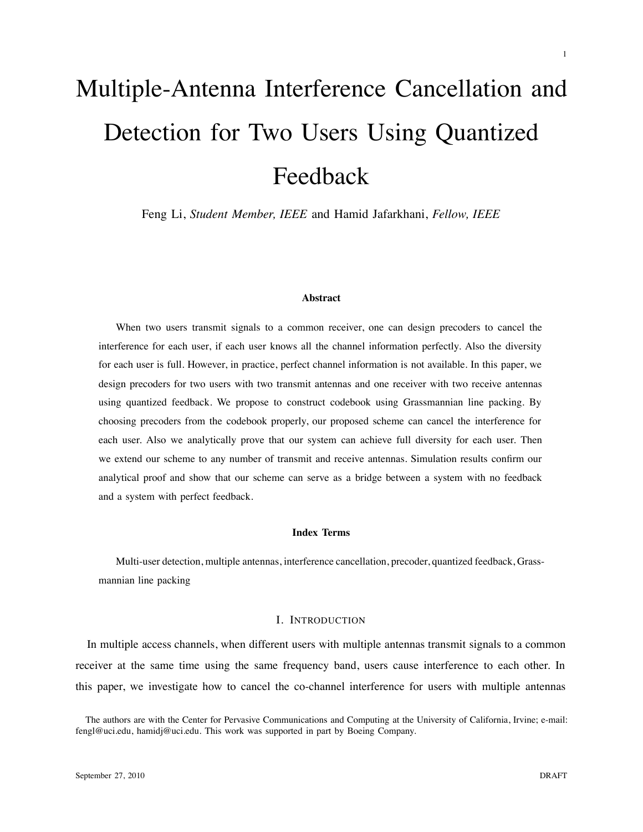# Multiple-Antenna Interference Cancellation and Detection for Two Users Using Quantized Feedback

Feng Li, *Student Member, IEEE* and Hamid Jafarkhani, *Fellow, IEEE*

#### **Abstract**

When two users transmit signals to a common receiver, one can design precoders to cancel the interference for each user, if each user knows all the channel information perfectly. Also the diversity for each user is full. However, in practice, perfect channel information is not available. In this paper, we design precoders for two users with two transmit antennas and one receiver with two receive antennas using quantized feedback. We propose to construct codebook using Grassmannian line packing. By choosing precoders from the codebook properly, our proposed scheme can cancel the interference for each user. Also we analytically prove that our system can achieve full diversity for each user. Then we extend our scheme to any number of transmit and receive antennas. Simulation results confirm our analytical proof and show that our scheme can serve as a bridge between a system with no feedback and a system with perfect feedback.

#### **Index Terms**

Multi-user detection, multiple antennas, interference cancellation, precoder, quantized feedback, Grassmannian line packing

#### I. INTRODUCTION

In multiple access channels, when different users with multiple antennas transmit signals to a common receiver at the same time using the same frequency band, users cause interference to each other. In this paper, we investigate how to cancel the co-channel interference for users with multiple antennas

The authors are with the Center for Pervasive Communications and Computing at the University of California, Irvine; e-mail: fengl@uci.edu, hamidj@uci.edu. This work was supported in part by Boeing Company.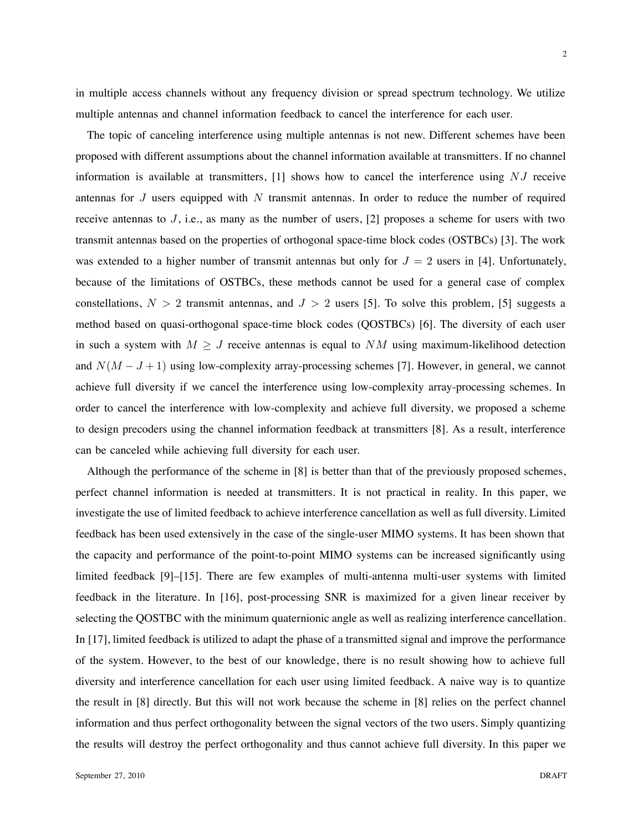in multiple access channels without any frequency division or spread spectrum technology. We utilize multiple antennas and channel information feedback to cancel the interference for each user.

The topic of canceling interference using multiple antennas is not new. Different schemes have been proposed with different assumptions about the channel information available at transmitters. If no channel information is available at transmitters,  $[1]$  shows how to cancel the interference using NJ receive antennas for  $J$  users equipped with  $N$  transmit antennas. In order to reduce the number of required receive antennas to  $J$ , i.e., as many as the number of users, [2] proposes a scheme for users with two transmit antennas based on the properties of orthogonal space-time block codes (OSTBCs) [3]. The work was extended to a higher number of transmit antennas but only for  $J = 2$  users in [4]. Unfortunately, because of the limitations of OSTBCs, these methods cannot be used for a general case of complex constellations,  $N > 2$  transmit antennas, and  $J > 2$  users [5]. To solve this problem, [5] suggests a method based on quasi-orthogonal space-time block codes (QOSTBCs) [6]. The diversity of each user in such a system with  $M \geq J$  receive antennas is equal to NM using maximum-likelihood detection and  $N(M - J + 1)$  using low-complexity array-processing schemes [7]. However, in general, we cannot achieve full diversity if we cancel the interference using low-complexity array-processing schemes. In order to cancel the interference with low-complexity and achieve full diversity, we proposed a scheme to design precoders using the channel information feedback at transmitters [8]. As a result, interference can be canceled while achieving full diversity for each user.

Although the performance of the scheme in [8] is better than that of the previously proposed schemes, perfect channel information is needed at transmitters. It is not practical in reality. In this paper, we investigate the use of limited feedback to achieve interference cancellation as well as full diversity. Limited feedback has been used extensively in the case of the single-user MIMO systems. It has been shown that the capacity and performance of the point-to-point MIMO systems can be increased significantly using limited feedback [9]–[15]. There are few examples of multi-antenna multi-user systems with limited feedback in the literature. In [16], post-processing SNR is maximized for a given linear receiver by selecting the QOSTBC with the minimum quaternionic angle as well as realizing interference cancellation. In [17], limited feedback is utilized to adapt the phase of a transmitted signal and improve the performance of the system. However, to the best of our knowledge, there is no result showing how to achieve full diversity and interference cancellation for each user using limited feedback. A naive way is to quantize the result in [8] directly. But this will not work because the scheme in [8] relies on the perfect channel information and thus perfect orthogonality between the signal vectors of the two users. Simply quantizing the results will destroy the perfect orthogonality and thus cannot achieve full diversity. In this paper we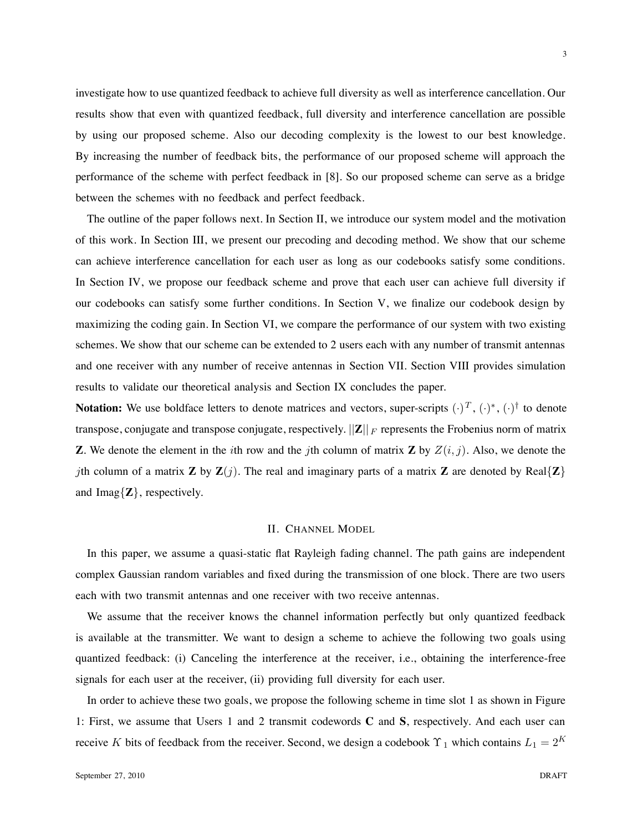investigate how to use quantized feedback to achieve full diversity as well as interference cancellation. Our results show that even with quantized feedback, full diversity and interference cancellation are possible by using our proposed scheme. Also our decoding complexity is the lowest to our best knowledge. By increasing the number of feedback bits, the performance of our proposed scheme will approach the performance of the scheme with perfect feedback in [8]. So our proposed scheme can serve as a bridge between the schemes with no feedback and perfect feedback.

The outline of the paper follows next. In Section II, we introduce our system model and the motivation of this work. In Section III, we present our precoding and decoding method. We show that our scheme can achieve interference cancellation for each user as long as our codebooks satisfy some conditions. In Section IV, we propose our feedback scheme and prove that each user can achieve full diversity if our codebooks can satisfy some further conditions. In Section V, we finalize our codebook design by maximizing the coding gain. In Section VI, we compare the performance of our system with two existing schemes. We show that our scheme can be extended to 2 users each with any number of transmit antennas and one receiver with any number of receive antennas in Section VII. Section VIII provides simulation results to validate our theoretical analysis and Section IX concludes the paper.

**Notation:** We use boldface letters to denote matrices and vectors, super-scripts  $(\cdot)^T$ ,  $(\cdot)^*$ ,  $(\cdot)^{\dagger}$  to denote transpose, conjugate and transpose conjugate, respectively.  $||Z||_F$  represents the Frobenius norm of matrix **Z**. We denote the element in the *i*th row and the *j*th column of matrix **Z** by  $Z(i, j)$ . Also, we denote the *j*th column of a matrix **Z** by  $\mathbf{Z}(j)$ . The real and imaginary parts of a matrix **Z** are denoted by Real $\{Z\}$ and Imag $\{Z\}$ , respectively.

#### II. CHANNEL MODEL

In this paper, we assume a quasi-static flat Rayleigh fading channel. The path gains are independent complex Gaussian random variables and fixed during the transmission of one block. There are two users each with two transmit antennas and one receiver with two receive antennas.

We assume that the receiver knows the channel information perfectly but only quantized feedback is available at the transmitter. We want to design a scheme to achieve the following two goals using quantized feedback: (i) Canceling the interference at the receiver, i.e., obtaining the interference-free signals for each user at the receiver, (ii) providing full diversity for each user.

In order to achieve these two goals, we propose the following scheme in time slot 1 as shown in Figure 1: First, we assume that Users 1 and 2 transmit codewords **C** and **S**, respectively. And each user can receive K bits of feedback from the receiver. Second, we design a codebook  $\Upsilon_1$  which contains  $L_1 = 2^K$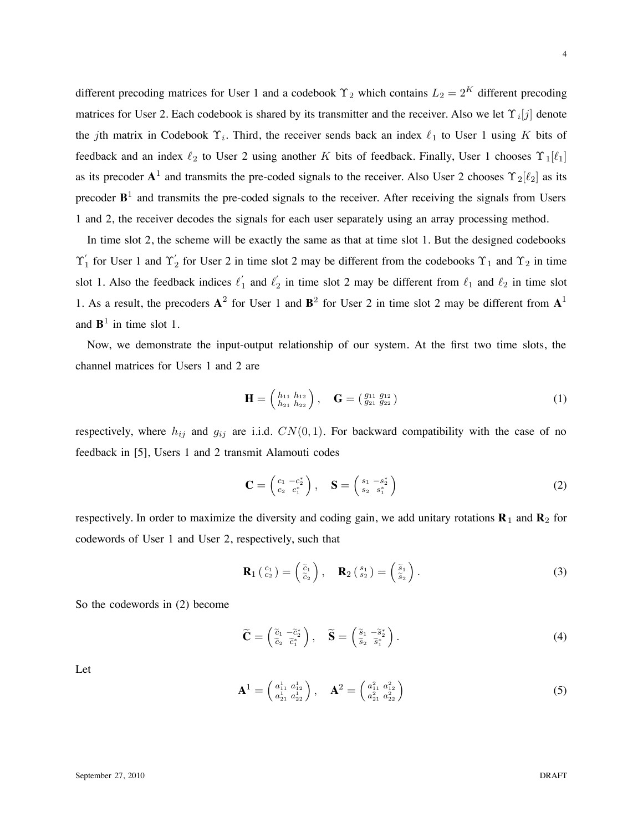different precoding matrices for User 1 and a codebook  $\Upsilon_2$  which contains  $L_2 = 2^K$  different precoding matrices for User 2. Each codebook is shared by its transmitter and the receiver. Also we let  $\Upsilon_i[j]$  denote the jth matrix in Codebook  $\Upsilon_i$ . Third, the receiver sends back an index  $\ell_1$  to User 1 using K bits of feedback and an index  $\ell_2$  to User 2 using another K bits of feedback. Finally, User 1 chooses  $\Upsilon_1[\ell_1]$ as its precoder  $A^1$  and transmits the pre-coded signals to the receiver. Also User 2 chooses  $\Upsilon_2[\ell_2]$  as its precoder  $B<sup>1</sup>$  and transmits the pre-coded signals to the receiver. After receiving the signals from Users 1 and 2, the receiver decodes the signals for each user separately using an array processing method.

In time slot 2, the scheme will be exactly the same as that at time slot 1. But the designed codebooks  $\Upsilon_1'$  for User 1 and  $\Upsilon_2'$  for User 2 in time slot 2 may be different from the codebooks  $\Upsilon_1$  and  $\Upsilon_2$  in time slot 1. Also the feedback indices  $\ell'_1$  and  $\ell'_2$  in time slot 2 may be different from  $\ell_1$  and  $\ell_2$  in time slot 1. As a result, the precoders  $A^2$  for User 1 and  $B^2$  for User 2 in time slot 2 may be different from  $A^1$ and  $\mathbf{B}^1$  in time slot 1.

Now, we demonstrate the input-output relationship of our system. At the first two time slots, the channel matrices for Users 1 and 2 are

$$
\mathbf{H} = \begin{pmatrix} h_{11} & h_{12} \\ h_{21} & h_{22} \end{pmatrix}, \quad \mathbf{G} = \begin{pmatrix} g_{11} & g_{12} \\ g_{21} & g_{22} \end{pmatrix}
$$
 (1)

respectively, where  $h_{ij}$  and  $g_{ij}$  are i.i.d.  $CN(0, 1)$ . For backward compatibility with the case of no feedback in [5], Users 1 and 2 transmit Alamouti codes

$$
\mathbf{C} = \begin{pmatrix} c_1 & -c_2^* \\ c_2 & c_1^* \end{pmatrix}, \quad \mathbf{S} = \begin{pmatrix} s_1 & -s_2^* \\ s_2 & s_1^* \end{pmatrix} \tag{2}
$$

respectively. In order to maximize the diversity and coding gain, we add unitary rotations **R**<sup>1</sup> and **R**<sup>2</sup> for codewords of User 1 and User 2, respectively, such that

$$
\mathbf{R}_{1} \left( \begin{array}{c} c_{1} \\ c_{2} \end{array} \right) = \left( \begin{array}{c} \tilde{c}_{1} \\ \tilde{c}_{2} \end{array} \right), \quad \mathbf{R}_{2} \left( \begin{array}{c} s_{1} \\ s_{2} \end{array} \right) = \left( \begin{array}{c} \tilde{s}_{1} \\ \tilde{s}_{2} \end{array} \right). \tag{3}
$$

So the codewords in (2) become

$$
\widetilde{\mathbf{C}} = \begin{pmatrix} \widetilde{c}_1 & -\widetilde{c}_2^* \\ \widetilde{c}_2 & \widetilde{c}_1^* \end{pmatrix}, \quad \widetilde{\mathbf{S}} = \begin{pmatrix} \widetilde{s}_1 & -\widetilde{s}_2^* \\ \widetilde{s}_2 & \widetilde{s}_1^* \end{pmatrix}.
$$
 (4)

Let

$$
\mathbf{A}^{1} = \begin{pmatrix} a_{11}^{1} & a_{12}^{1} \\ a_{21}^{1} & a_{22}^{1} \end{pmatrix}, \quad \mathbf{A}^{2} = \begin{pmatrix} a_{11}^{2} & a_{12}^{2} \\ a_{21}^{2} & a_{22}^{2} \end{pmatrix}
$$
 (5)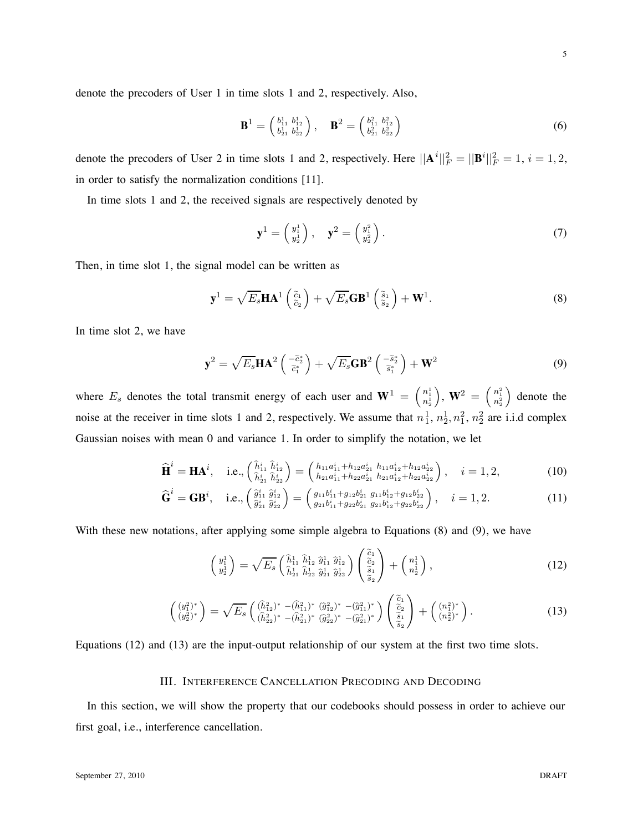denote the precoders of User 1 in time slots 1 and 2, respectively. Also,

$$
\mathbf{B}^{1} = \begin{pmatrix} b_{11}^{1} & b_{12}^{1} \\ b_{21}^{1} & b_{22}^{1} \end{pmatrix}, \quad \mathbf{B}^{2} = \begin{pmatrix} b_{11}^{2} & b_{12}^{2} \\ b_{21}^{2} & b_{22}^{2} \end{pmatrix}
$$
 (6)

denote the precoders of User 2 in time slots 1 and 2, respectively. Here  $||\mathbf{A}^i||_F^2 = ||\mathbf{B}^i||_F^2 = 1$ ,  $i = 1, 2$ , in order to satisfy the normalization conditions [11].

In time slots 1 and 2, the received signals are respectively denoted by

$$
\mathbf{y}^1 = \begin{pmatrix} y_1^1 \\ y_2^1 \end{pmatrix}, \quad \mathbf{y}^2 = \begin{pmatrix} y_1^2 \\ y_2^2 \end{pmatrix}.
$$
 (7)

Then, in time slot 1, the signal model can be written as

$$
\mathbf{y}^{1} = \sqrt{E_s} \mathbf{H} \mathbf{A}^{1} \begin{pmatrix} \tilde{c}_1 \\ \tilde{c}_2 \end{pmatrix} + \sqrt{E_s} \mathbf{G} \mathbf{B}^{1} \begin{pmatrix} \tilde{s}_1 \\ \tilde{s}_2 \end{pmatrix} + \mathbf{W}^{1}.
$$
 (8)

In time slot 2, we have

$$
\mathbf{y}^2 = \sqrt{E_s} \mathbf{H} \mathbf{A}^2 \left( \begin{array}{c} -\tilde{c}_2^* \\ \tilde{c}_1^* \end{array} \right) + \sqrt{E_s} \mathbf{G} \mathbf{B}^2 \left( \begin{array}{c} -\tilde{s}_2^* \\ \tilde{s}_1^* \end{array} \right) + \mathbf{W}^2 \tag{9}
$$

where  $E_s$  denotes the total transmit energy of each user and  $\mathbf{W}^1 = \begin{pmatrix} n_1^1 \\ n_2^1 \end{pmatrix}$  $\Big),\ \mathbf{W}^{2}\ =\ \Big(\frac{n_{1}^{2}}{n_{2}^{2}}% \sqrt{\frac{n_{1}^{2}}{n_{1}^{2}}}\sqrt{\frac{n_{2}^{2}}{n_{2}^{2}}}\Big)\ \mathrm{.}$ ) denote the noise at the receiver in time slots 1 and 2, respectively. We assume that  $n_1^1, n_2^1, n_1^2, n_2^2$  are i.i.d complex Gaussian noises with mean 0 and variance 1. In order to simplify the notation, we let

$$
\widehat{\mathbf{H}}^{i} = \mathbf{H}\mathbf{A}^{i}, \quad \text{i.e.,} \begin{pmatrix} \widehat{h}_{11}^{i} \widehat{h}_{12}^{i} \\ \widehat{h}_{21}^{i} \widehat{h}_{22}^{i} \end{pmatrix} = \begin{pmatrix} h_{11}a_{11}^{i} + h_{12}a_{21}^{i} \ h_{11}a_{12}^{i} + h_{12}a_{22}^{i} \\ h_{21}a_{11}^{i} + h_{22}a_{21}^{i} \ h_{21}a_{12}^{i} + h_{22}a_{22}^{i} \end{pmatrix}, \quad i = 1, 2,
$$
\n(10)

$$
\widehat{\mathbf{G}}^{i} = \mathbf{G}\mathbf{B}^{i}, \quad \text{i.e.,} \left(\begin{matrix} \widehat{g}_{11}^{i} & \widehat{g}_{12}^{i} \\ \widehat{g}_{21}^{i} & \widehat{g}_{22}^{i} \end{matrix}\right) = \left(\begin{matrix} g_{11}b_{11}^{i} + g_{12}b_{21}^{i} & g_{11}b_{12}^{i} + g_{12}b_{22}^{i} \\ g_{21}b_{11}^{i} + g_{22}b_{21}^{i} & g_{21}b_{12}^{i} + g_{22}b_{22}^{i} \end{matrix}\right), \quad i = 1, 2.
$$
 (11)

With these new notations, after applying some simple algebra to Equations (8) and (9), we have

$$
\begin{pmatrix} y_1^1 \\ y_2^1 \end{pmatrix} = \sqrt{E_s} \begin{pmatrix} \hat{h}_{11}^1 & \hat{h}_{12}^1 & \hat{g}_{11}^1 & \hat{g}_{12}^1 \\ \hat{h}_{21}^1 & \hat{h}_{22}^1 & \hat{g}_{21}^1 & \hat{g}_{22}^1 \end{pmatrix} \begin{pmatrix} \tilde{c}_1 \\ \tilde{c}_2 \\ \tilde{s}_1 \\ \tilde{s}_2 \end{pmatrix} + \begin{pmatrix} n_1^1 \\ n_2^1 \end{pmatrix},
$$
\n(12)

$$
\begin{pmatrix}\n(y_1^2)^* \\
(y_2^2)^*\n\end{pmatrix} = \sqrt{E_s} \begin{pmatrix}\n(\hat{h}_{12}^2)^* - (\hat{h}_{11}^2)^* (\hat{g}_{12}^2)^* - (\hat{g}_{11}^2)^* \\
(\hat{h}_{22}^2)^* - (\hat{h}_{21}^2)^* (\hat{g}_{22}^2)^* - (\hat{g}_{21}^2)^*\n\end{pmatrix} \begin{pmatrix}\n\tilde{c}_1 \\
\tilde{c}_2 \\
\tilde{s}_1 \\
\tilde{s}_2\n\end{pmatrix} + \begin{pmatrix}\n(n_1^2)^* \\
(n_2^2)^*\n\end{pmatrix}.
$$
\n(13)

Equations (12) and (13) are the input-output relationship of our system at the first two time slots.

#### III. INTERFERENCE CANCELLATION PRECODING AND DECODING

In this section, we will show the property that our codebooks should possess in order to achieve our first goal, i.e., interference cancellation.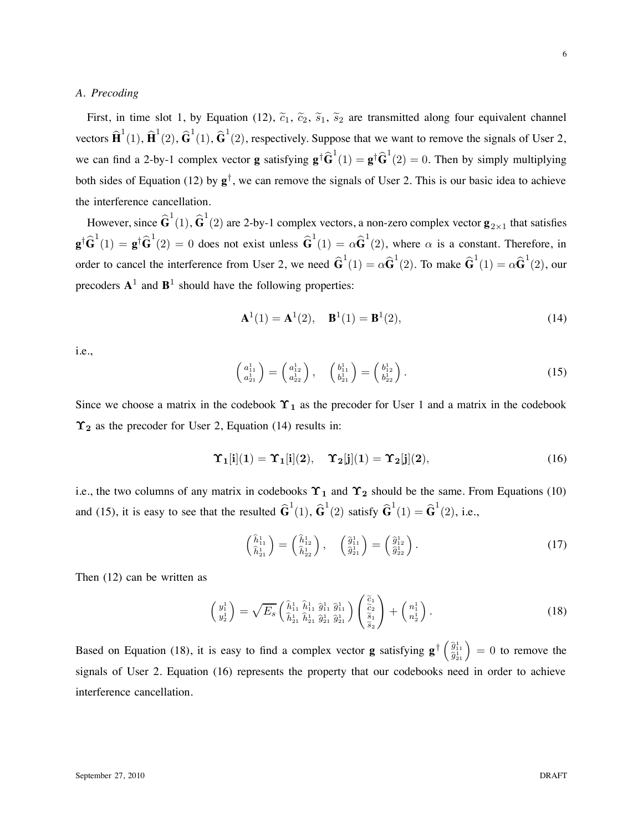#### *A. Precoding*

First, in time slot 1, by Equation (12),  $\tilde{c}_1$ ,  $\tilde{c}_2$ ,  $\tilde{s}_1$ ,  $\tilde{s}_2$  are transmitted along four equivalent channel vectors  $\hat{\mathbf{H}}^1(1), \hat{\mathbf{H}}^1(2), \hat{\mathbf{G}}^1(1), \hat{\mathbf{G}}^1(2)$ , respectively. Suppose that we want to remove the signals of User 2, we can find a 2-by-1 complex vector **g** satisfying  $\mathbf{g}^\dagger \widehat{\mathbf{G}}^1(1) = \mathbf{g}^\dagger \widehat{\mathbf{G}}^1(2) = 0$ . Then by simply multiplying both sides of Equation (12) by **g**†, we can remove the signals of User 2. This is our basic idea to achieve the interference cancellation.

However, since  $\hat{\textbf{G}}^1(1), \hat{\textbf{G}}^1(2)$  are 2-by-1 complex vectors, a non-zero complex vector  $\textbf{g}_{2\times 1}$  that satisfies  $\mathbf{g}^{\dagger} \widehat{\mathbf{G}}^1(1) = \mathbf{g}^{\dagger} \widehat{\mathbf{G}}^1(2) = 0$  does not exist unless  $\widehat{\mathbf{G}}^1(1) = \alpha \widehat{\mathbf{G}}^1(2)$ , where  $\alpha$  is a constant. Therefore, in order to cancel the interference from User 2, we need  $\hat{G}^1(1) = \alpha \hat{G}^1(2)$ . To make  $\hat{G}^1(1) = \alpha \hat{G}^1(2)$ , our precoders  $A^1$  and  $B^1$  should have the following properties:

$$
\mathbf{A}^{1}(1) = \mathbf{A}^{1}(2), \quad \mathbf{B}^{1}(1) = \mathbf{B}^{1}(2), \tag{14}
$$

i.e.,

$$
\begin{pmatrix} a_{11}^1 \\ a_{21}^1 \end{pmatrix} = \begin{pmatrix} a_{12}^1 \\ a_{22}^1 \end{pmatrix}, \quad \begin{pmatrix} b_{11}^1 \\ b_{21}^1 \end{pmatrix} = \begin{pmatrix} b_{12}^1 \\ b_{22}^1 \end{pmatrix}.
$$
 (15)

Since we choose a matrix in the codebook  $\Upsilon_1$  as the precoder for User 1 and a matrix in the codebook  $\Upsilon_2$  as the precoder for User 2, Equation (14) results in:

$$
\Upsilon_1[i](1) = \Upsilon_1[i](2), \quad \Upsilon_2[j](1) = \Upsilon_2[j](2), \tag{16}
$$

i.e., the two columns of any matrix in codebooks  $\Upsilon_1$  and  $\Upsilon_2$  should be the same. From Equations (10) and (15), it is easy to see that the resulted  $\hat{\mathbf{G}}^1(1)$ ,  $\hat{\mathbf{G}}^1(2)$  satisfy  $\hat{\mathbf{G}}^1(1) = \hat{\mathbf{G}}^1(2)$ , i.e.,

$$
\begin{pmatrix} \hat{h}_{11}^1 \\ \hat{h}_{21}^1 \end{pmatrix} = \begin{pmatrix} \hat{h}_{12}^1 \\ \hat{h}_{22}^1 \end{pmatrix}, \quad \begin{pmatrix} \hat{g}_{11}^1 \\ \hat{g}_{21}^1 \end{pmatrix} = \begin{pmatrix} \hat{g}_{12}^1 \\ \hat{g}_{22}^1 \end{pmatrix}.
$$
 (17)

Then (12) can be written as

$$
\begin{pmatrix} y_1^1 \\ y_2^1 \end{pmatrix} = \sqrt{E_s} \begin{pmatrix} \hat{h}_{11}^1 & \hat{h}_{11}^1 & \hat{g}_{11}^1 \\ \hat{h}_{21}^1 & \hat{h}_{21}^1 & \hat{g}_{21}^1 \end{pmatrix} \begin{pmatrix} \tilde{c}_1 \\ \tilde{c}_2 \\ \tilde{s}_1 \\ \tilde{s}_2 \end{pmatrix} + \begin{pmatrix} n_1^1 \\ n_2^1 \end{pmatrix} . \tag{18}
$$

Based on Equation (18), it is easy to find a complex vector **g** satisfying  $\mathbf{g}^{\dagger} \begin{pmatrix} \hat{g}_{11}^1 \\ \hat{g}_{21}^1 \end{pmatrix} = 0$  to remove the signals of User 2. Equation (16) represents the property that our codebooks need in order to achieve interference cancellation.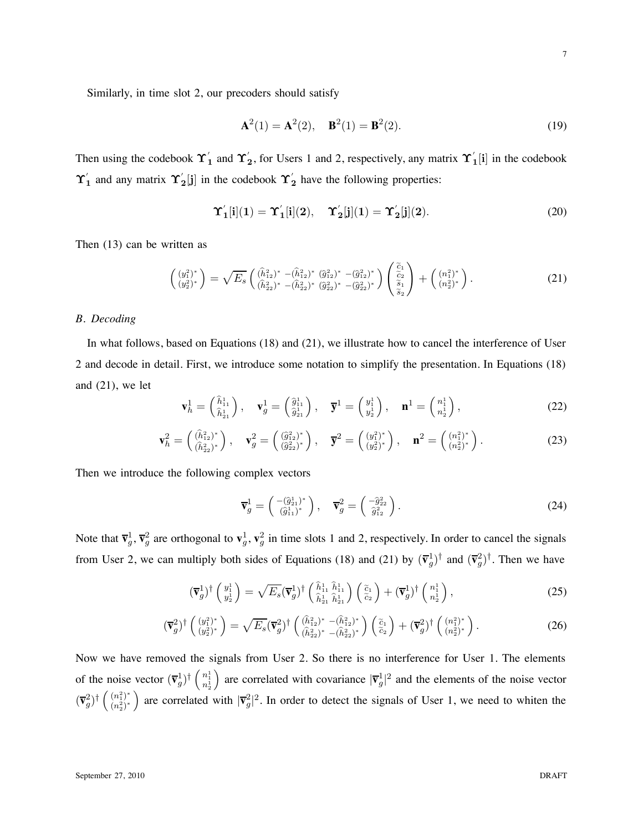Similarly, in time slot 2, our precoders should satisfy

$$
\mathbf{A}^2(1) = \mathbf{A}^2(2), \quad \mathbf{B}^2(1) = \mathbf{B}^2(2). \tag{19}
$$

Then using the codebook  $\Upsilon'_1$  and  $\Upsilon'_2$ , for Users 1 and 2, respectively, any matrix  $\Upsilon'_1[i]$  in the codebook  $\Upsilon'_1$  and any matrix  $\Upsilon'_2$  [j] in the codebook  $\Upsilon'_2$  have the following properties:

$$
\Upsilon_1'[i](1) = \Upsilon_1'[i](2), \quad \Upsilon_2'[j](1) = \Upsilon_2'[j](2). \tag{20}
$$

Then (13) can be written as

$$
\begin{pmatrix}\n(y_1^2)^* \\
(y_2^2)^*\n\end{pmatrix} = \sqrt{E_s} \begin{pmatrix}\n(\hat{h}_{12}^2)^* - (\hat{h}_{12}^2)^* (\hat{g}_{12}^2)^* - (\hat{g}_{12}^2)^* \\
(\hat{h}_{22}^2)^* - (\hat{h}_{22}^2)^* (\hat{g}_{22}^2)^* - (\hat{g}_{22}^2)^*\n\end{pmatrix} \begin{pmatrix}\n\tilde{c}_1 \\
\tilde{c}_2 \\
\tilde{s}_1 \\
\tilde{s}_2\n\end{pmatrix} + \begin{pmatrix}\n(n_1^2)^* \\
(n_2^2)^*\n\end{pmatrix}.
$$
\n(21)

#### *B. Decoding*

In what follows, based on Equations (18) and (21), we illustrate how to cancel the interference of User 2 and decode in detail. First, we introduce some notation to simplify the presentation. In Equations (18) and (21), we let

$$
\mathbf{v}_h^1 = \begin{pmatrix} \hat{h}_{11}^1 \\ \hat{h}_{21}^1 \end{pmatrix}, \quad \mathbf{v}_g^1 = \begin{pmatrix} \hat{g}_{11}^1 \\ \hat{g}_{21}^1 \end{pmatrix}, \quad \overline{\mathbf{y}}^1 = \begin{pmatrix} y_1^1 \\ y_2^1 \end{pmatrix}, \quad \mathbf{n}^1 = \begin{pmatrix} n_1^1 \\ n_2^1 \end{pmatrix}, \tag{22}
$$

$$
\mathbf{v}_h^2 = \begin{pmatrix} (\hat{h}_{12}^2)^* \\ (\hat{h}_{22}^2)^* \end{pmatrix}, \quad \mathbf{v}_g^2 = \begin{pmatrix} (\hat{g}_{12}^2)^* \\ (\hat{g}_{22}^2)^* \end{pmatrix}, \quad \overline{\mathbf{y}}^2 = \begin{pmatrix} (y_1^2)^* \\ (y_2^2)^* \end{pmatrix}, \quad \mathbf{n}^2 = \begin{pmatrix} (n_1^2)^* \\ (n_2^2)^* \end{pmatrix}.
$$
 (23)

Then we introduce the following complex vectors

$$
\overline{\mathbf{v}}_g^1 = \begin{pmatrix} -(\hat{g}_{21}^1)^* \\ (\hat{g}_{11}^1)^* \end{pmatrix}, \quad \overline{\mathbf{v}}_g^2 = \begin{pmatrix} -\hat{g}_{22}^2 \\ \hat{g}_{12}^2 \end{pmatrix}.
$$
 (24)

Note that  $\overline{\mathbf{v}}_g^1$ ,  $\overline{\mathbf{v}}_g^2$  are orthogonal to  $\mathbf{v}_g^1$ ,  $\mathbf{v}_g^2$  in time slots 1 and 2, respectively. In order to cancel the signals from User 2, we can multiply both sides of Equations (18) and (21) by  $(\bar{v}_g^1)^{\dagger}$  and  $(\bar{v}_g^2)^{\dagger}$ . Then we have

$$
(\overline{\mathbf{v}}_g^1)^{\dagger} \begin{pmatrix} y_1^1 \\ y_2^1 \end{pmatrix} = \sqrt{E_s} (\overline{\mathbf{v}}_g^1)^{\dagger} \begin{pmatrix} \hat{h}_{11}^1 & \hat{h}_{11}^1 \\ \hat{h}_{21}^1 & \hat{h}_{21}^1 \end{pmatrix} \begin{pmatrix} \tilde{c}_1 \\ \tilde{c}_2 \end{pmatrix} + (\overline{\mathbf{v}}_g^1)^{\dagger} \begin{pmatrix} n_1^1 \\ n_2^1 \end{pmatrix},
$$
\n(25)

$$
(\overline{\mathbf{v}}_g^2)^{\dagger} \begin{pmatrix} (y_1^2)^* \\ (y_2^2)^* \end{pmatrix} = \sqrt{E_s} (\overline{\mathbf{v}}_g^2)^{\dagger} \begin{pmatrix} (\hat{h}_{12}^2)^* - (\hat{h}_{12}^2)^* \\ (\hat{h}_{22}^2)^* - (\hat{h}_{22}^2)^* \end{pmatrix} \begin{pmatrix} \tilde{c}_1 \\ \tilde{c}_2 \end{pmatrix} + (\overline{\mathbf{v}}_g^2)^{\dagger} \begin{pmatrix} (n_1^2)^* \\ (n_2^2)^* \end{pmatrix} . \tag{26}
$$

Now we have removed the signals from User 2. So there is no interference for User 1. The elements of the noise vector  $(\overline{\mathbf{v}}_g^1)^{\dagger} \begin{pmatrix} n_1^1 \\ n_2^1 \end{pmatrix}$ ) are correlated with covariance  $|\bar{\mathbf{v}}_g|^2$  and the elements of the noise vector  $(\overline{\mathbf{v}}_g^2)^{\dagger} \left( \frac{(n_1^2)^*}{(n_2^2)^*} \right)$  $(n_2^2)^*$ ) are correlated with  $|\nabla_g^2|^2$ . In order to detect the signals of User 1, we need to whiten the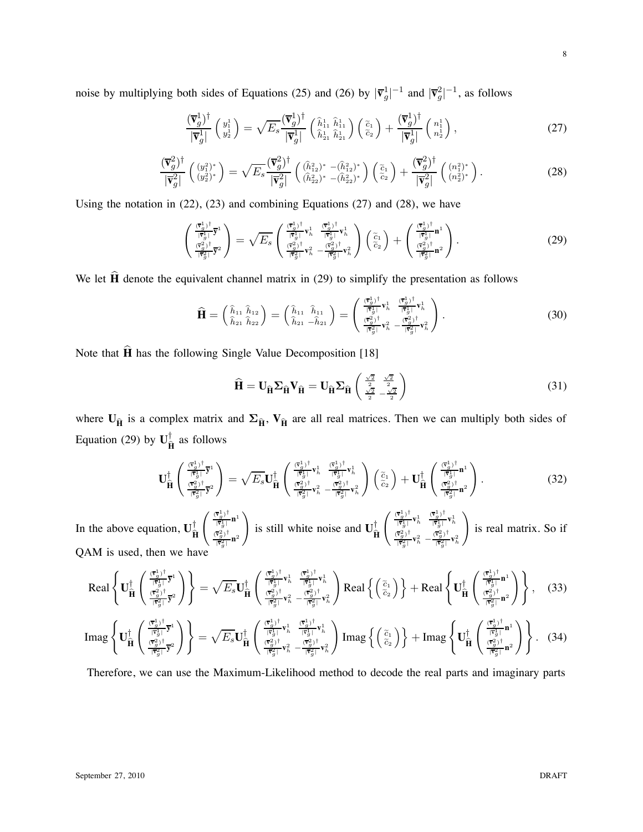noise by multiplying both sides of Equations (25) and (26) by  $|\mathbf{v}_g|^{\mathbf{1}}|^{-1}$  and  $|\mathbf{v}_g^{\mathbf{2}}|^{-1}$ , as follows

$$
\frac{(\overline{\mathbf{v}}_g^1)^{\dagger}}{|\overline{\mathbf{v}}_g^1|} \begin{pmatrix} y_1^1 \\ y_2^1 \end{pmatrix} = \sqrt{E_s} \frac{(\overline{\mathbf{v}}_g^1)^{\dagger}}{|\overline{\mathbf{v}}_g^1|} \begin{pmatrix} \hat{h}_{11}^1 & \hat{h}_{11}^1 \\ \hat{h}_{21}^1 & \hat{h}_{21}^1 \end{pmatrix} \begin{pmatrix} \tilde{c}_1 \\ \tilde{c}_2 \end{pmatrix} + \frac{(\overline{\mathbf{v}}_g^1)^{\dagger}}{|\overline{\mathbf{v}}_g^1|} \begin{pmatrix} n_1^1 \\ n_2^1 \end{pmatrix},
$$
\n(27)

$$
\frac{(\overline{\mathbf{v}}_g^2)^{\dagger}}{|\overline{\mathbf{v}}_g^2|} \left( \begin{array}{c} (y_1^2)^* \\ (y_2^2)^* \end{array} \right) = \sqrt{E_s} \frac{(\overline{\mathbf{v}}_g^2)^{\dagger}}{|\overline{\mathbf{v}}_g^2|} \left( \begin{array}{c} (\widehat{h}_{12}^2)^* - (\widehat{h}_{12}^2)^* \\ (\widehat{h}_{22}^2)^* - (\widehat{h}_{22}^2)^* \end{array} \right) \left( \begin{array}{c} \widetilde{c}_1 \\ \widetilde{c}_2 \end{array} \right) + \frac{(\overline{\mathbf{v}}_g^2)^{\dagger}}{|\overline{\mathbf{v}}_g^2|} \left( \begin{array}{c} (n_1^2)^* \\ (n_2^2)^* \end{array} \right). \tag{28}
$$

Using the notation in (22), (23) and combining Equations (27) and (28), we have

$$
\begin{pmatrix}\n\frac{(\vec{\mathbf{v}}_d^1)^{\dagger}}{|\vec{\mathbf{v}}_d^1|} \vec{\mathbf{v}}^1 \\
\frac{(\vec{\mathbf{v}}_d^2)^{\dagger}}{|\vec{\mathbf{v}}_d^2|} \vec{\mathbf{v}}^2\n\end{pmatrix} = \sqrt{E_s} \begin{pmatrix}\n\frac{(\vec{\mathbf{v}}_d^1)^{\dagger}}{|\vec{\mathbf{v}}_d^1|} \mathbf{v}_h^1 & \frac{(\vec{\mathbf{v}}_d^1)^{\dagger}}{|\vec{\mathbf{v}}_d^1|} \mathbf{v}_h^1 \\
\frac{(\vec{\mathbf{v}}_d^2)^{\dagger}}{|\vec{\mathbf{v}}_d^2|} \mathbf{v}_h^2 & -\frac{(\vec{\mathbf{v}}_d^2)^{\dagger}}{|\vec{\mathbf{v}}_d^2|} \mathbf{v}_h^2\n\end{pmatrix} \begin{pmatrix}\n\tilde{c}_1 \\
\tilde{c}_2\n\end{pmatrix} + \begin{pmatrix}\n\frac{(\vec{\mathbf{v}}_d^1)^{\dagger}}{|\vec{\mathbf{v}}_d^1|} \mathbf{n}^1 \\
\frac{(\vec{\mathbf{v}}_d^2)^{\dagger}}{|\vec{\mathbf{v}}_d^2|} \mathbf{n}^2\n\end{pmatrix} .
$$
\n(29)

We let  $\hat{H}$  denote the equivalent channel matrix in (29) to simplify the presentation as follows

$$
\widehat{\mathbf{H}} = \begin{pmatrix} \widehat{h}_{11} & \widehat{h}_{12} \\ \widehat{h}_{21} & \widehat{h}_{22} \end{pmatrix} = \begin{pmatrix} \widehat{h}_{11} & \widehat{h}_{11} \\ \widehat{h}_{21} & -\widehat{h}_{21} \end{pmatrix} = \begin{pmatrix} \frac{(\overline{v}_{g}^{1})^{\dagger}}{|\overline{v}_{g}^{1}|} \mathbf{v}_{h}^{1} & \frac{(\overline{v}_{g}^{1})^{\dagger}}{|\overline{v}_{g}^{1}|} \mathbf{v}_{h}^{1} \\ \frac{(\overline{v}_{g}^{2})^{\dagger}}{|\overline{v}_{g}^{2}|} \mathbf{v}_{h}^{2} & -\frac{(\overline{v}_{g}^{2})^{\dagger}}{|\overline{v}_{g}^{2}|} \mathbf{v}_{h}^{2} \end{pmatrix}.
$$
\n(30)

Note that  $\hat{H}$  has the following Single Value Decomposition [18]

$$
\widehat{\mathbf{H}} = \mathbf{U}_{\widehat{\mathbf{H}}} \boldsymbol{\Sigma}_{\widehat{\mathbf{H}}} \mathbf{V}_{\widehat{\mathbf{H}}} = \mathbf{U}_{\widehat{\mathbf{H}}} \boldsymbol{\Sigma}_{\widehat{\mathbf{H}}} \left( \begin{array}{cc} \frac{\sqrt{2}}{2} & \frac{\sqrt{2}}{2} \\ \frac{\sqrt{2}}{2} & -\frac{\sqrt{2}}{2} \end{array} \right) \tag{31}
$$

where  $U_{\hat{H}}$  is a complex matrix and  $\Sigma_{\hat{H}}$ ,  $V_{\hat{H}}$  are all real matrices. Then we can multiply both sides of Equation (29) by  $\mathbf{U}_{\hat{\mathbf{H}}}^{\dagger}$  as follows

$$
\mathbf{U}_{\widehat{\mathbf{H}}}^{\dagger} \begin{pmatrix} \frac{(\overline{\mathbf{v}}_{g}^{1})^{\dagger}}{|\overline{\mathbf{v}}_{g}^{1}|} \overline{\mathbf{v}}^{1} \\ \frac{(\overline{\mathbf{v}}_{g}^{2})^{\dagger}}{|\overline{\mathbf{v}}_{g}^{2}|} \overline{\mathbf{v}}^{2} \end{pmatrix} = \sqrt{E_{s}} \mathbf{U}_{\widehat{\mathbf{H}}}^{\dagger} \begin{pmatrix} \frac{(\overline{\mathbf{v}}_{g}^{1})^{\dagger}}{|\overline{\mathbf{v}}_{g}^{1}|} \mathbf{v}_{h}^{1} & \frac{(\overline{\mathbf{v}}_{g}^{1})^{\dagger}}{|\overline{\mathbf{v}}_{g}^{2}|} \mathbf{v}_{h}^{1} \\ \frac{(\overline{\mathbf{v}}_{g}^{2})^{\dagger}}{|\overline{\mathbf{v}}_{g}^{2}|} \mathbf{v}_{h}^{2} & -\frac{(\overline{\mathbf{v}}_{g}^{2})^{\dagger}}{|\overline{\mathbf{v}}_{g}^{2}|} \mathbf{v}_{h}^{2} \end{pmatrix} \begin{pmatrix} \widetilde{c}_{1} \\ \widetilde{c}_{2} \end{pmatrix} + \mathbf{U}_{\widehat{\mathbf{H}}}^{\dagger} \begin{pmatrix} \frac{(\overline{\mathbf{v}}_{g}^{1})^{\dagger}}{|\overline{\mathbf{v}}_{g}^{1}|} \mathbf{n}^{1} \\ \frac{(\overline{\mathbf{v}}_{g}^{2})^{\dagger}}{|\overline{\mathbf{v}}_{g}^{2}|} \mathbf{n}^{2} \end{pmatrix} . \tag{32}
$$

In the above equation,  $\mathbf{U}_{\hat{\mathbf{H}}}^{\top}$  $\int \frac{(\overline{\mathbf{v}}_g^1)^{\dagger}}{|\overline{\mathbf{v}}_g^1|} \mathbf{n}^1$  $\frac{(\overline{\mathbf{v}}_g^2)^{\dagger}}{|\overline{\mathbf{v}}_g^2|} \mathbf{n}^2$ ' is still white noise and  $\mathbf{U}_{\hat{\mathbf{H}}}^{\top}$  $\left( \begin{array}{cc} \frac{(\overline{\mathbf{v}}_g^1)^{\dagger}}{|\overline{\mathbf{v}}_g^1|} \mathbf{v}_h^1 & \frac{(\overline{\mathbf{v}}_g^1)^{\dagger}}{|\overline{\mathbf{v}}_g^1|} \mathbf{v}_h^1 \end{array} \right)$  $\frac{(\overline{\mathbf{v}}_g^2)^\dagger}{|\overline{\mathbf{v}}_g^2|}\mathbf{v}_h^2 - \frac{(\overline{\mathbf{v}}_g^2)^\dagger}{|\overline{\mathbf{v}}_g^2|}\mathbf{v}_h^2$ ' is real matrix. So if QAM is used, then we have

$$
\text{Real}\left\{\mathbf{U}^{\dagger}_{\widehat{\mathbf{H}}}\left(\frac{(\overline{\mathbf{v}}^1_{g})^{\dagger}}{(\overline{\mathbf{v}}^2_{g})^{\dagger}}\overline{\mathbf{y}}^1\right)\right\} = \sqrt{E_s}\mathbf{U}^{\dagger}_{\widehat{\mathbf{H}}}\left(\frac{(\overline{\mathbf{v}}^1_{g})^{\dagger}}{(\overline{\mathbf{v}}^1_{g})^{\dagger}}\mathbf{v}^1_{h}\right)_{\widehat{\mathbf{H}}}\frac{(\overline{\mathbf{v}}^1_{g})^{\dagger}}{(\overline{\mathbf{v}}^2_{g})^{\dagger}}\mathbf{v}^1_{h}\right) \text{Real}\left\{\left(\frac{\widetilde{c}_1}{\widetilde{c}_2}\right)^{\dagger}\right\} + \text{Real}\left\{\mathbf{U}^{\dagger}_{\widehat{\mathbf{H}}}\left(\frac{(\overline{\mathbf{v}}^1_{g})^{\dagger}}{(\overline{\mathbf{v}}^1_{g})^{\dagger}}\mathbf{n}^1\right)\right\},\tag{33}
$$

$$
\text{Imag}\left\{\mathbf{U}_{\widehat{\mathbf{H}}}^{\dagger}\left(\frac{\frac{(\overline{\mathbf{v}}_{g}^1)^{\dagger}}{|\overline{\mathbf{v}}_{g}^1|}\overline{\mathbf{v}}^1}{\frac{(\overline{\mathbf{v}}_{g}^2)^{\dagger}}{|\overline{\mathbf{v}}_{g}^2|}\overline{\mathbf{v}}^2}\right)\right\} = \sqrt{E_s}\mathbf{U}_{\widehat{\mathbf{H}}}^{\dagger}\left(\frac{\frac{(\overline{\mathbf{v}}_{g}^1)^{\dagger}}{|\overline{\mathbf{v}}_{g}^1|}\mathbf{v}_h^1}{\frac{(\overline{\mathbf{v}}_{g}^2)^{\dagger}}{|\overline{\mathbf{v}}_{g}^2|}\mathbf{v}_h^2}\right)\text{Imag}\left\{\left(\frac{\widetilde{c}_1}{\widetilde{c}_2}\right)\right\} + \text{Imag}\left\{\mathbf{U}_{\widehat{\mathbf{H}}}^{\dagger}\left(\frac{\frac{(\overline{\mathbf{v}}_{g}^1)^{\dagger}}{|\overline{\mathbf{v}}_{g}^2|}\mathbf{n}^1}{\frac{(\overline{\mathbf{v}}_{g}^2)^{\dagger}}{|\overline{\mathbf{v}}_{g}^2|}\mathbf{v}_h^2}\right)\right\}.
$$
 (34)

Therefore, we can use the Maximum-Likelihood method to decode the real parts and imaginary parts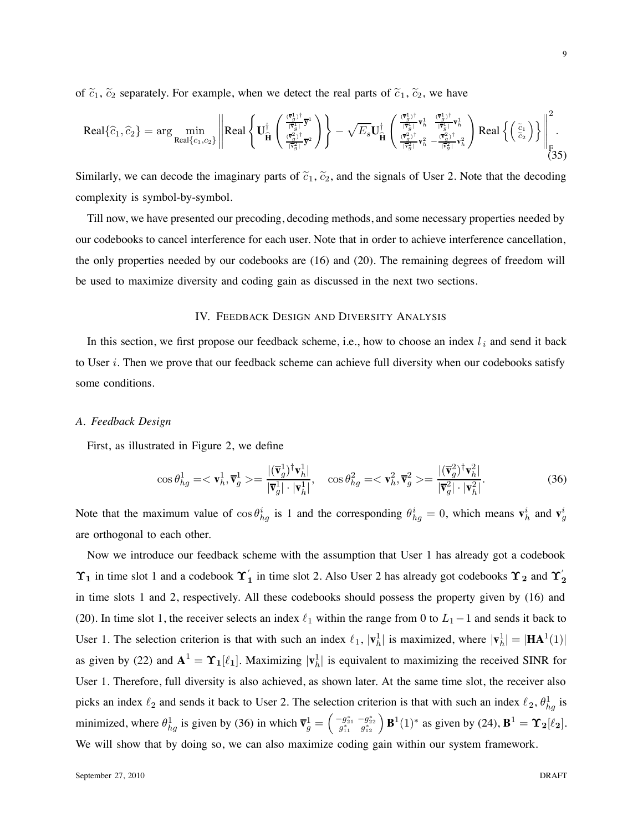of  $\tilde{c}_1$ ,  $\tilde{c}_2$  separately. For example, when we detect the real parts of  $\tilde{c}_1$ ,  $\tilde{c}_2$ , we have

$$
\text{Real}\{\widehat{c}_{1},\widehat{c}_{2}\} = \arg\min_{\text{Real}\{c_{1},c_{2}\}}\left\|\text{Real}\left\{U_{\widehat{\mathbf{H}}}^{\dagger}\left(\frac{\frac{\overline{(\overline{r}_{g}^{1}})^{\dagger}}{\|\overline{r}_{g}^{1}\|}\overline{y}^{1}}{\frac{\overline{(\overline{r}_{g}^{2})^{\dagger}}{\|\overline{r}_{g}^{2}\|}\overline{y}^{2}}}\right)\right\} - \sqrt{E_{s}}U_{\widehat{\mathbf{H}}}^{\dagger}\left(\frac{\frac{\overline{(\overline{r}_{g}^{1})^{\dagger}}}{\|\overline{r}_{g}^{2}\|}\mathbf{v}_{h}^{1}}{\frac{\overline{(\overline{r}_{g}^{2})^{\dagger}}}{\|\overline{r}_{g}^{2}\|}\mathbf{v}_{h}^{2}} - \frac{\overline{(\overline{r}_{g}^{2})^{\dagger}}}{\|\overline{r}_{g}^{2}\|}\mathbf{v}_{h}^{2}}\right)\text{Real}\left\{\left(\frac{\widetilde{c}_{1}}{\widetilde{c}_{2}}\right)\right\}\Bigg\|_{\mathbf{F}}^{2}.
$$
\n(35)

Similarly, we can decode the imaginary parts of  $\tilde{c}_1$ ,  $\tilde{c}_2$ , and the signals of User 2. Note that the decoding complexity is symbol-by-symbol.

Till now, we have presented our precoding, decoding methods, and some necessary properties needed by our codebooks to cancel interference for each user. Note that in order to achieve interference cancellation, the only properties needed by our codebooks are (16) and (20). The remaining degrees of freedom will be used to maximize diversity and coding gain as discussed in the next two sections.

#### IV. FEEDBACK DESIGN AND DIVERSITY ANALYSIS

In this section, we first propose our feedback scheme, i.e., how to choose an index  $l_i$  and send it back to User  $i$ . Then we prove that our feedback scheme can achieve full diversity when our codebooks satisfy some conditions.

#### *A. Feedback Design*

First, as illustrated in Figure 2, we define

$$
\cos \theta_{hg}^1 = \langle \mathbf{v}_h^1, \overline{\mathbf{v}}_g^1 \rangle = \frac{|(\overline{\mathbf{v}}_g^1)^{\dagger} \mathbf{v}_h^1|}{|\overline{\mathbf{v}}_g^1| \cdot |\mathbf{v}_h^1|}, \quad \cos \theta_{hg}^2 = \langle \mathbf{v}_h^2, \overline{\mathbf{v}}_g^2 \rangle = \frac{|(\overline{\mathbf{v}}_g^2)^{\dagger} \mathbf{v}_h^2|}{|\overline{\mathbf{v}}_g^2| \cdot |\mathbf{v}_h^2|}. \tag{36}
$$

Note that the maximum value of  $\cos \theta_{hg}^i$  is 1 and the corresponding  $\theta_{hg}^i = 0$ , which means  $\mathbf{v}_h^i$  and  $\mathbf{v}_g^i$ are orthogonal to each other.

Now we introduce our feedback scheme with the assumption that User 1 has already got a codebook  $\Upsilon_1$  in time slot 1 and a codebook  $\Upsilon_1$  in time slot 2. Also User 2 has already got codebooks  $\Upsilon_2$  and  $\Upsilon_2$ in time slots 1 and 2, respectively. All these codebooks should possess the property given by (16) and (20). In time slot 1, the receiver selects an index  $\ell_1$  within the range from 0 to  $L_1-1$  and sends it back to User 1. The selection criterion is that with such an index  $\ell_1$ ,  $|\mathbf{v}_h^1|$  is maximized, where  $|\mathbf{v}_h^1| = |\mathbf{HA}^1(1)|$ as given by (22) and  $A^1 = \Upsilon_1[\ell_1]$ . Maximizing  $|\mathbf{v}_h^1|$  is equivalent to maximizing the received SINR for User 1. Therefore, full diversity is also achieved, as shown later. At the same time slot, the receiver also picks an index  $\ell_2$  and sends it back to User 2. The selection criterion is that with such an index  $\ell_2$ ,  $\theta_{hg}^1$  is minimized, where  $\theta_{hg}^1$  is given by (36) in which  $\overline{\mathbf{v}}_g^1 = \begin{pmatrix} -g_{21}^* & -g_{22}^* \\ g_{11}^* & g_{12}^* \end{pmatrix} \mathbf{B}^1(1)^*$  as given by (24),  $\mathbf{B}^1 = \Upsilon_2[\ell_2]$ . We will show that by doing so, we can also maximize coding gain within our system framework.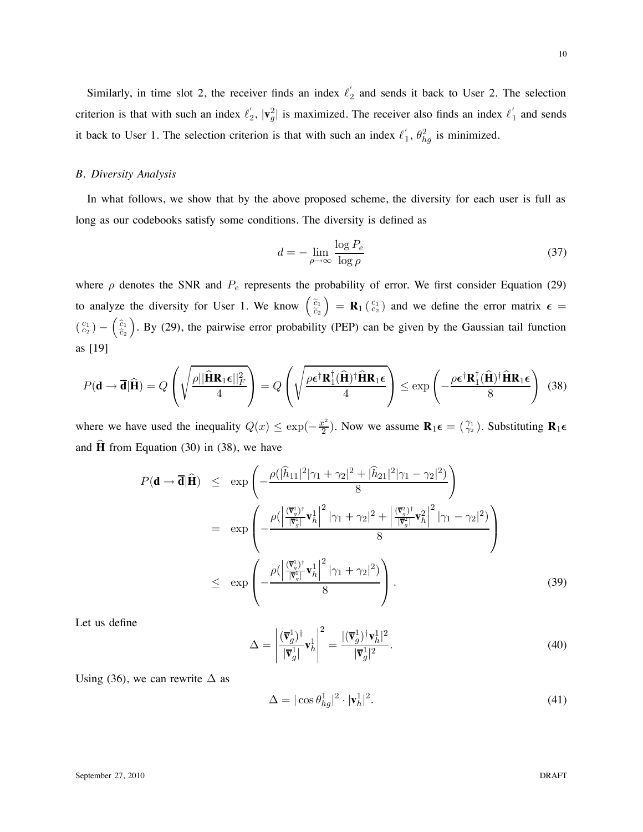10

Similarly, in time slot 2, the receiver finds an index  $\ell'_2$  and sends it back to User 2. The selection criterion is that with such an index  $\ell'_2$ ,  $|\mathbf{v}_g^2|$  is maximized. The receiver also finds an index  $\ell'_1$  and sends it back to User 1. The selection criterion is that with such an index  $\ell'_1$ ,  $\theta_{hg}^2$  is minimized.

#### *B. Diversity Analysis*

In what follows, we show that by the above proposed scheme, the diversity for each user is full as long as our codebooks satisfy some conditions. The diversity is defined as

$$
d = -\lim_{\rho \to \infty} \frac{\log P_e}{\log \rho} \tag{37}
$$

where  $\rho$  denotes the SNR and  $P_e$  represents the probability of error. We first consider Equation (29) to analyze the diversity for User 1. We know  $\begin{pmatrix} \tilde{c}_1 \\ \tilde{c}_2 \end{pmatrix}$  $= \mathbf{R}_1 \begin{pmatrix} c_1 \\ c_2 \end{pmatrix}$  and we define the error matrix  $\epsilon =$  $\left( \begin{array}{c} c_1 \ c_2 \end{array} \right) - \left( \begin{array}{c} \widehat{c}_1 \ \widehat{c}_2 \end{array} \right)$  $\widehat{c}_2$ ). By (29), the pairwise error probability (PEP) can be given by the Gaussian tail function as [19]

$$
P(\mathbf{d} \to \overline{\mathbf{d}} | \widehat{\mathbf{H}}) = Q\left(\sqrt{\frac{\rho ||\widehat{\mathbf{H}} \mathbf{R}_1 \boldsymbol{\epsilon}||_F^2}{4}}\right) = Q\left(\sqrt{\frac{\rho \boldsymbol{\epsilon}^{\dagger} \mathbf{R}_1^{\dagger}(\widehat{\mathbf{H}})^{\dagger} \widehat{\mathbf{H}} \mathbf{R}_1 \boldsymbol{\epsilon}}{4}}\right) \leq \exp\left(-\frac{\rho \boldsymbol{\epsilon}^{\dagger} \mathbf{R}_1^{\dagger}(\widehat{\mathbf{H}})^{\dagger} \widehat{\mathbf{H}} \mathbf{R}_1 \boldsymbol{\epsilon}}{8}\right) \tag{38}
$$

where we have used the inequality  $Q(x) \le \exp(-\frac{x^2}{2})$ . Now we assume  $\mathbf{R}_1 \epsilon = \begin{pmatrix} \gamma_1 \\ \gamma_2 \end{pmatrix}$ . Substituting  $\mathbf{R}_1 \epsilon$ and  $\hat{H}$  from Equation (30) in (38), we have

$$
P(\mathbf{d} \to \overline{\mathbf{d}}|\widehat{\mathbf{H}}) \le \exp\left(-\frac{\rho(|\widehat{h}_{11}|^2|\gamma_1 + \gamma_2|^2 + |\widehat{h}_{21}|^2|\gamma_1 - \gamma_2|^2)}{8}\right)
$$
  
\n
$$
= \exp\left(-\frac{\rho(|\frac{\overline{\mathbf{v}}_g}{|\overline{\mathbf{v}}_g|} \mathbf{v}_h^1|^2 |\gamma_1 + \gamma_2|^2 + |\frac{\overline{\mathbf{v}}_g^2}{|\overline{\mathbf{v}}_g^2|} \mathbf{v}_h^2|^2 |\gamma_1 - \gamma_2|^2)}{8}\right)
$$
  
\n
$$
\le \exp\left(-\frac{\rho(|\frac{\overline{\mathbf{v}}_g}{|\overline{\mathbf{v}}_g|} \mathbf{v}_h^1|^2 |\gamma_1 + \gamma_2|^2)}{8}\right).
$$
\n(39)

Let us define

$$
\Delta = \left| \frac{(\overline{\mathbf{v}}_g^1)^{\dagger}}{|\overline{\mathbf{v}}_g^1|} \mathbf{v}_h^1 \right|^2 = \frac{|(\overline{\mathbf{v}}_g^1)^{\dagger} \mathbf{v}_h^1|^2}{|\overline{\mathbf{v}}_g^1|^2}.
$$
\n(40)

Using (36), we can rewrite  $\Delta$  as

$$
\Delta = |\cos \theta_{hg}^1|^2 \cdot |\mathbf{v}_h^1|^2. \tag{41}
$$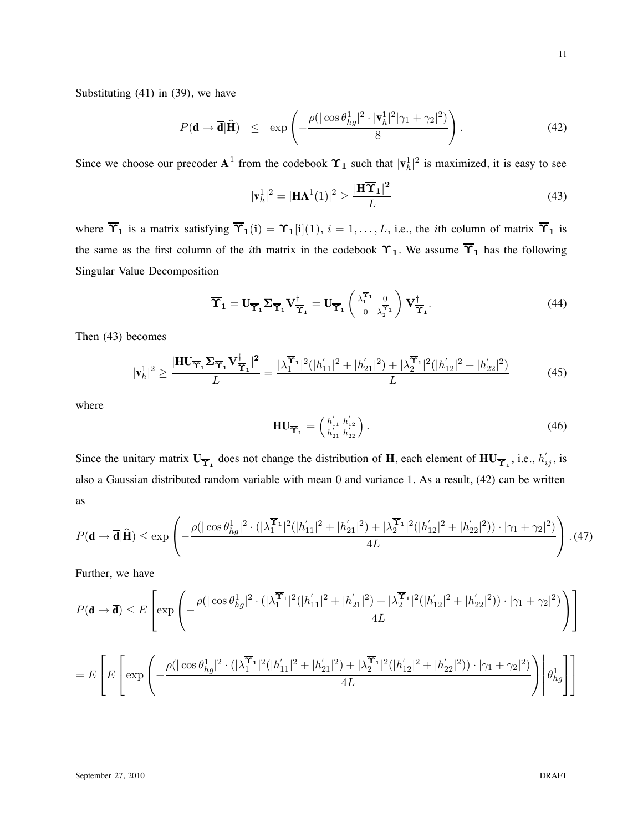Substituting (41) in (39), we have

$$
P(\mathbf{d} \to \overline{\mathbf{d}} | \widehat{\mathbf{H}}) \le \exp\left(-\frac{\rho(|\cos \theta_{hg}^1|^2 \cdot |\mathbf{v}_h^1|^2 |\gamma_1 + \gamma_2|^2)}{8}\right). \tag{42}
$$

Since we choose our precoder  $A^1$  from the codebook  $\Upsilon_1$  such that  $|\mathbf{v}_h^1|^2$  is maximized, it is easy to see

$$
|\mathbf{v}_h^1|^2 = |\mathbf{HA}^1(1)|^2 \ge \frac{|\mathbf{H}\overline{\mathbf{T}}_1|^2}{L}
$$
 (43)

where  $\overline{\Upsilon}_1$  is a matrix satisfying  $\overline{\Upsilon}_1(i) = \Upsilon_1[i](1)$ ,  $i = 1, ..., L$ , i.e., the *i*th column of matrix  $\overline{\Upsilon}_1$  is the same as the first column of the *i*th matrix in the codebook  $\Upsilon_1$ . We assume  $\overline{\Upsilon}_1$  has the following Singular Value Decomposition

$$
\overline{\Upsilon}_1 = U_{\overline{\Upsilon}_1} \Sigma_{\overline{\Upsilon}_1} V^{\dagger}_{\overline{\Upsilon}_1} = U_{\overline{\Upsilon}_1} \begin{pmatrix} \lambda_1^{\overline{\Upsilon}_1} & 0 \\ 0 & \lambda_2^{\overline{\Upsilon}_1} \end{pmatrix} V^{\dagger}_{\overline{\Upsilon}_1}.
$$
 (44)

Then (43) becomes

$$
|\mathbf{v}_h^1|^2 \ge \frac{|\mathbf{HU}_{\overline{\mathbf{Y}}_1}\Sigma_{\overline{\mathbf{Y}}_1}\mathbf{V}_{\overline{\mathbf{Y}}_1}^{\dagger}|^2}{L} = \frac{|\lambda_1^{\overline{\mathbf{Y}}_1}|^2(|h'_{11}|^2 + |h'_{21}|^2) + |\lambda_2^{\overline{\mathbf{Y}}_1}|^2(|h'_{12}|^2 + |h'_{22}|^2)}{L}
$$
(45)

where

$$
\mathbf{HU}_{\overline{\mathbf{Y}}_1} = \begin{pmatrix} h'_{11} & h'_{12} \\ h'_{21} & h'_{22} \end{pmatrix} . \tag{46}
$$

Since the unitary matrix  $U_{\overline{Y}_1}$  does not change the distribution of **H**, each element of  $HU_{\overline{Y}_1}$ , i.e.,  $h'_{ij}$ , is also a Gaussian distributed random variable with mean 0 and variance 1. As a result, (42) can be written as

$$
P(\mathbf{d} \to \overline{\mathbf{d}}|\widehat{\mathbf{H}}) \le \exp\left(-\frac{\rho(|\cos\theta_{hg}^1|^2 \cdot (|\lambda_1^{\overline{\mathbf{T}}_1}|^2 (|h_{11}'|^2 + |h_{21}'|^2) + |\lambda_2^{\overline{\mathbf{T}}_1}|^2 (|h_{12}'|^2 + |h_{22}'|^2)) \cdot |\gamma_1 + \gamma_2|^2)}{4L}\right). (47)
$$

Further, we have

$$
P(\mathbf{d} \to \overline{\mathbf{d}}) \leq E \left[ \exp \left( -\frac{\rho(|\cos \theta_{hg}^1|^2 \cdot (|\lambda_1^{\overline{\mathbf{T}}_1}|^2 (|h_{11}^{'}|^2 + |h_{21}^{'}|^2) + |\lambda_2^{\overline{\mathbf{T}}_1}|^2 (|h_{12}^{'}|^2 + |h_{22}^{'}|^2)) \cdot |\gamma_1 + \gamma_2|^2)}{4L} \right) \right]
$$
  
= 
$$
E \left[ E \left[ \exp \left( -\frac{\rho(|\cos \theta_{hg}^1|^2 \cdot (|\lambda_1^{\overline{\mathbf{T}}_1}|^2 (|h_{11}^{'}|^2 + |h_{21}^{'}|^2) + |\lambda_2^{\overline{\mathbf{T}}_1}|^2 (|h_{12}^{'}|^2 + |h_{22}^{'}|^2)) \cdot |\gamma_1 + \gamma_2|^2)}{4L} \right) \right] \theta_{hg}^1 \right]
$$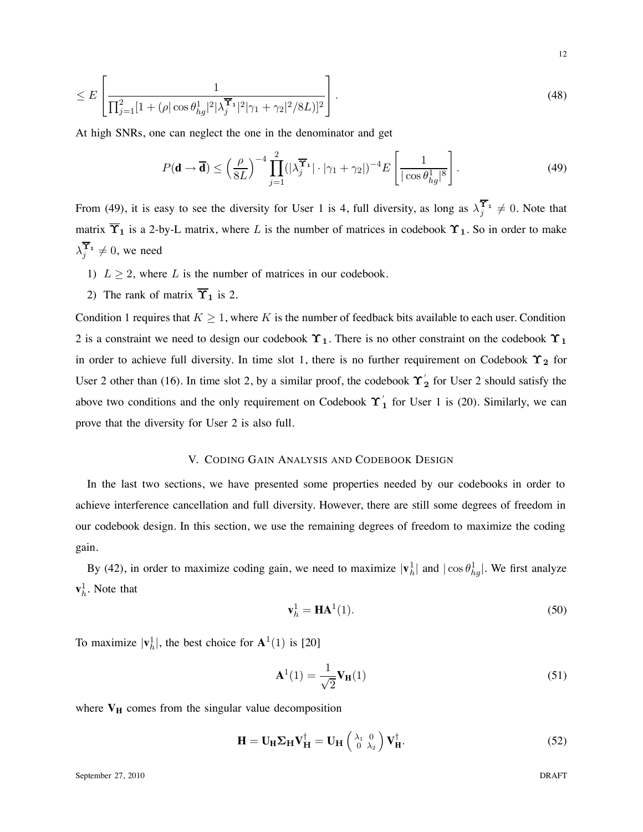$$
\leq E\left[\frac{1}{\prod_{j=1}^{2}[1+(\rho|\cos\theta_{hg}^{1}|^{2}|\lambda_{j}^{\mathbf{T}_{1}}|^{2}|\gamma_{1}+\gamma_{2}|^{2}/8L)]^{2}}\right].
$$
\n(48)

At high SNRs, one can neglect the one in the denominator and get

$$
P(\mathbf{d} \to \overline{\mathbf{d}}) \le \left(\frac{\rho}{8L}\right)^{-4} \prod_{j=1}^{2} (|\lambda_j^{\overline{\mathbf{Y}}_1}| \cdot |\gamma_1 + \gamma_2|)^{-4} E\left[\frac{1}{|\cos \theta_{hg}^1|^8}\right].
$$
 (49)

From (49), it is easy to see the diversity for User 1 is 4, full diversity, as long as  $\lambda_j^{\Upsilon_1} \neq 0$ . Note that matrix  $\overline{\Upsilon}_1$  is a 2-by-L matrix, where L is the number of matrices in codebook  $\Upsilon_1$ . So in order to make  $\lambda_j^{\Upsilon_1} \neq 0$ , we need

- 1)  $L \geq 2$ , where L is the number of matrices in our codebook.
- 2) The rank of matrix  $\overline{\Upsilon}_1$  is 2.

Condition 1 requires that  $K \geq 1$ , where K is the number of feedback bits available to each user. Condition 2 is a constraint we need to design our codebook  $\Upsilon_1$ . There is no other constraint on the codebook  $\Upsilon_1$ in order to achieve full diversity. In time slot 1, there is no further requirement on Codebook  $\Upsilon_2$  for User 2 other than (16). In time slot 2, by a similar proof, the codebook  $\Upsilon'_2$  for User 2 should satisfy the above two conditions and the only requirement on Codebook  $\Upsilon'_1$  for User 1 is (20). Similarly, we can prove that the diversity for User 2 is also full.

#### V. CODING GAIN ANALYSIS AND CODEBOOK DESIGN

In the last two sections, we have presented some properties needed by our codebooks in order to achieve interference cancellation and full diversity. However, there are still some degrees of freedom in our codebook design. In this section, we use the remaining degrees of freedom to maximize the coding gain.

By (42), in order to maximize coding gain, we need to maximize  $|\mathbf{v}_h^1|$  and  $|\cos \theta_{hg}^1|$ . We first analyze  $\mathbf{v}_h^1$ . Note that

$$
\mathbf{v}_h^1 = \mathbf{HA}^1(1). \tag{50}
$$

To maximize  $|\mathbf{v}_h^1|$ , the best choice for  $\mathbf{A}^1(1)$  is [20]

$$
\mathbf{A}^{1}(1) = \frac{1}{\sqrt{2}} \mathbf{V}_{\mathbf{H}}(1) \tag{51}
$$

where  $V_H$  comes from the singular value decomposition

$$
\mathbf{H} = \mathbf{U}_{\mathbf{H}} \mathbf{\Sigma}_{\mathbf{H}} \mathbf{V}_{\mathbf{H}}^{\dagger} = \mathbf{U}_{\mathbf{H}} \begin{pmatrix} \lambda_1 & 0 \\ 0 & \lambda_2 \end{pmatrix} \mathbf{V}_{\mathbf{H}}^{\dagger}.
$$
 (52)

September 27, 2010 DRAFT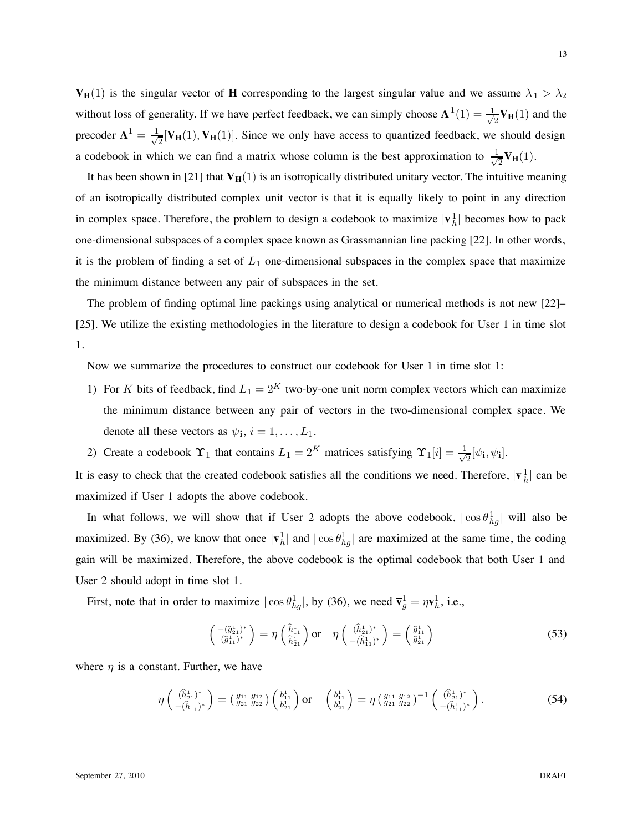$V_H(1)$  is the singular vector of **H** corresponding to the largest singular value and we assume  $\lambda_1 > \lambda_2$ without loss of generality. If we have perfect feedback, we can simply choose  $\mathbf{A}^1(1) = \frac{1}{\sqrt{2}} \mathbf{V}_{\mathbf{H}}(1)$  and the precoder  $A^1 = \frac{1}{\sqrt{2}}[V_H(1), V_H(1)]$ . Since we only have access to quantized feedback, we should design a codebook in which we can find a matrix whose column is the best approximation to  $\frac{1}{\sqrt{2}}V_H(1)$ .

It has been shown in [21] that  $V_H(1)$  is an isotropically distributed unitary vector. The intuitive meaning of an isotropically distributed complex unit vector is that it is equally likely to point in any direction in complex space. Therefore, the problem to design a codebook to maximize  $|\mathbf{v}_h^1|$  becomes how to pack one-dimensional subspaces of a complex space known as Grassmannian line packing [22]. In other words, it is the problem of finding a set of  $L_1$  one-dimensional subspaces in the complex space that maximize the minimum distance between any pair of subspaces in the set.

The problem of finding optimal line packings using analytical or numerical methods is not new [22]– [25]. We utilize the existing methodologies in the literature to design a codebook for User 1 in time slot 1.

Now we summarize the procedures to construct our codebook for User 1 in time slot 1:

- 1) For K bits of feedback, find  $L_1 = 2^K$  two-by-one unit norm complex vectors which can maximize the minimum distance between any pair of vectors in the two-dimensional complex space. We denote all these vectors as  $\psi_i$ ,  $i = 1, \dots, L_1$ .
- 2) Create a codebook  $\Upsilon_1$  that contains  $L_1 = 2^K$  matrices satisfying  $\Upsilon_1[i] = \frac{1}{\sqrt{2}}[\psi_i, \psi_i].$

It is easy to check that the created codebook satisfies all the conditions we need. Therefore,  $|\mathbf{v}_h^1|$  can be maximized if User 1 adopts the above codebook.

In what follows, we will show that if User 2 adopts the above codebook,  $|\cos \theta_{hg}^1|$  will also be maximized. By (36), we know that once  $|\mathbf{v}_h^1|$  and  $|\cos \theta_{hg}^1|$  are maximized at the same time, the coding gain will be maximized. Therefore, the above codebook is the optimal codebook that both User 1 and User 2 should adopt in time slot 1.

First, note that in order to maximize  $|\cos \theta_{hg}^1|$ , by (36), we need  $\overline{\mathbf{v}}_g^1 = \eta \mathbf{v}_h^1$ , i.e.,

$$
\begin{pmatrix} -(\hat{g}_{21}^1)^* \\ (\hat{g}_{11}^1)^* \end{pmatrix} = \eta \begin{pmatrix} \hat{h}_{11}^1 \\ \hat{h}_{21}^1 \end{pmatrix} \text{or} \quad \eta \begin{pmatrix} (\hat{h}_{21}^1)^* \\ -(\hat{h}_{11}^1)^* \end{pmatrix} = \begin{pmatrix} \hat{g}_{11}^1 \\ \hat{g}_{21}^1 \end{pmatrix}
$$
 (53)

where  $\eta$  is a constant. Further, we have

$$
\eta\begin{pmatrix} (\hat{h}_{21}^1)^* \\ -(\hat{h}_{11}^1)^* \end{pmatrix} = \begin{pmatrix} g_{11} & g_{12} \\ g_{21} & g_{22} \end{pmatrix} \begin{pmatrix} b_{11}^1 \\ b_{21}^1 \end{pmatrix} \text{or} \quad \begin{pmatrix} b_{11}^1 \\ b_{21}^1 \end{pmatrix} = \eta \begin{pmatrix} g_{11} & g_{12} \\ g_{21} & g_{22} \end{pmatrix}^{-1} \begin{pmatrix} (\hat{h}_{21}^1)^* \\ -(\hat{h}_{11}^1)^* \end{pmatrix}.
$$
 (54)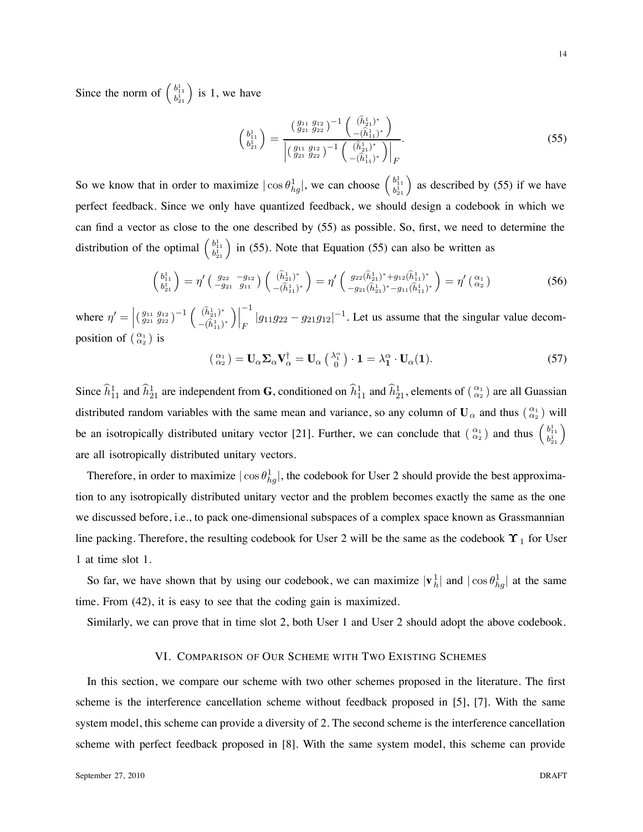Since the norm of  $\begin{pmatrix} b_{11}^1 \\ b_{21}^1 \end{pmatrix}$  is 1, we have

$$
\begin{pmatrix} b_{11}^1 \\ b_{21}^1 \end{pmatrix} = \frac{\left(\begin{array}{c} g_{11} & g_{12} \\ g_{21} & g_{22} \end{array}\right)^{-1} \left(\begin{array}{c} (\hat{h}_{21}^1)^* \\ -(\hat{h}_{11}^1)^* \end{array}\right)}{\left|\left(\begin{array}{c} g_{11} & g_{12} \\ g_{21} & g_{22} \end{array}\right)^{-1} \left(\begin{array}{c} (\hat{h}_{21}^1)^* \\ -(\hat{h}_{11}^1)^* \end{array}\right)\right|_F}.
$$
\n(55)

So we know that in order to maximize  $|\cos \theta_{hg}^1|$ , we can choose  $\begin{pmatrix} b_{11}^1 \\ b_{21}^1 \end{pmatrix}$  as described by (55) if we have perfect feedback. Since we only have quantized feedback, we should design a codebook in which we can find a vector as close to the one described by (55) as possible. So, first, we need to determine the distribution of the optimal  $\begin{pmatrix} b_{11}^1 \\ b_{21}^1 \end{pmatrix}$  in (55). Note that Equation (55) can also be written as

$$
\begin{pmatrix} b_{11}^1 \\ b_{21}^1 \end{pmatrix} = \eta' \begin{pmatrix} g_{22} & -g_{12} \\ -g_{21} & g_{11} \end{pmatrix} \begin{pmatrix} (\hat{h}_{21}^1)^* \\ -(\hat{h}_{11}^1)^* \end{pmatrix} = \eta' \begin{pmatrix} g_{22}(\hat{h}_{21}^1)^* + g_{12}(\hat{h}_{11}^1)^* \\ -g_{21}(\hat{h}_{21}^1)^* - g_{11}(\hat{h}_{11}^1)^* \end{pmatrix} = \eta' \begin{pmatrix} \alpha_1 \\ \alpha_2 \end{pmatrix}
$$
 (56)

where  $\eta' = \left| \left( \frac{g_{11}}{g_{21}} \frac{g_{12}}{g_{22}} \right)^{-1} \left( \frac{\left( \hat{h}_{21}^1 \right)^*}{-\left( \hat{h}_{11}^1 \right)^*} \right) \right|$  $-(\hat{h}_{11}^1)^*$  $\Big)$ −1  $|g_{11}g_{22} - g_{21}g_{12}|^{-1}$ . Let us assume that the singular value decomposition of  $\binom{\alpha_1}{\alpha_2}$  is

$$
\left(\begin{array}{c} \alpha_1\\ \alpha_2 \end{array}\right) = \mathbf{U}_{\alpha} \mathbf{\Sigma}_{\alpha} \mathbf{V}_{\alpha}^{\dagger} = \mathbf{U}_{\alpha} \left(\begin{array}{c} \lambda_1^{\alpha}\\ 0 \end{array}\right) \cdot \mathbf{1} = \lambda_1^{\alpha} \cdot \mathbf{U}_{\alpha}(\mathbf{1}). \tag{57}
$$

Since  $\hat{h}_{11}^1$  and  $\hat{h}_{21}^1$  are independent from **G**, conditioned on  $\hat{h}_{11}^1$  and  $\hat{h}_{21}^1$ , elements of  $(\alpha_1 \atop \alpha_2)$  are all Guassian distributed random variables with the same mean and variance, so any column of  $U_\alpha$  and thus  $\binom{\alpha_1}{\alpha_2}$  will be an isotropically distributed unitary vector [21]. Further, we can conclude that  $\begin{pmatrix} \alpha_1 \\ \alpha_2 \end{pmatrix}$  and thus  $\begin{pmatrix} b_{11}^1 \\ b_{21}^1 \end{pmatrix}$ are all isotropically distributed unitary vectors.

Therefore, in order to maximize  $|\cos \theta_{hg}^1|$ , the codebook for User 2 should provide the best approximation to any isotropically distributed unitary vector and the problem becomes exactly the same as the one we discussed before, i.e., to pack one-dimensional subspaces of a complex space known as Grassmannian line packing. Therefore, the resulting codebook for User 2 will be the same as the codebook  $\Upsilon_1$  for User 1 at time slot 1.

So far, we have shown that by using our codebook, we can maximize  $|\mathbf{v}_h^1|$  and  $|\cos \theta_{hg}^1|$  at the same time. From (42), it is easy to see that the coding gain is maximized.

Similarly, we can prove that in time slot 2, both User 1 and User 2 should adopt the above codebook.

#### VI. COMPARISON OF OUR SCHEME WITH TWO EXISTING SCHEMES

In this section, we compare our scheme with two other schemes proposed in the literature. The first scheme is the interference cancellation scheme without feedback proposed in [5], [7]. With the same system model, this scheme can provide a diversity of 2. The second scheme is the interference cancellation scheme with perfect feedback proposed in [8]. With the same system model, this scheme can provide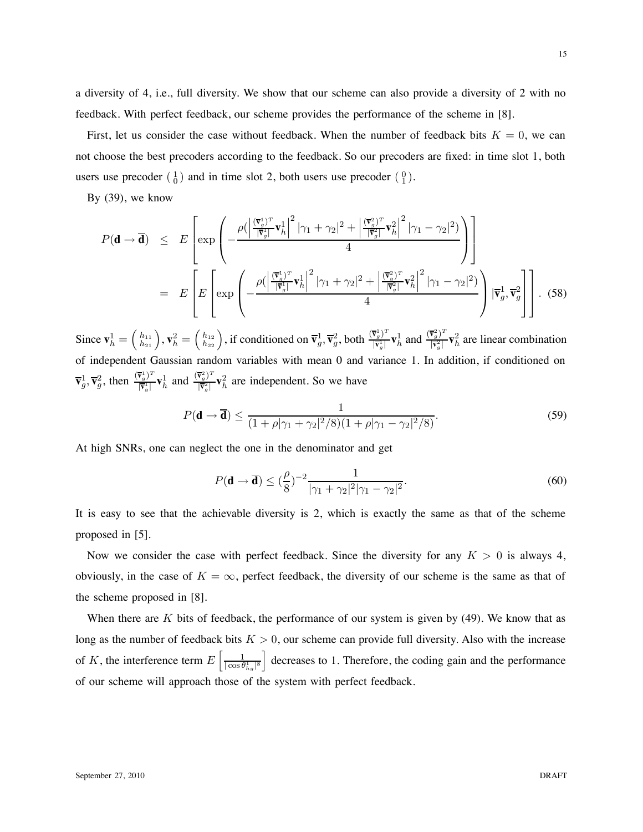a diversity of 4, i.e., full diversity. We show that our scheme can also provide a diversity of 2 with no feedback. With perfect feedback, our scheme provides the performance of the scheme in [8].

First, let us consider the case without feedback. When the number of feedback bits  $K = 0$ , we can not choose the best precoders according to the feedback. So our precoders are fixed: in time slot 1, both users use precoder  $\begin{pmatrix} 1 \\ 0 \end{pmatrix}$  and in time slot 2, both users use precoder  $\begin{pmatrix} 0 \\ 1 \end{pmatrix}$ .

By (39), we know

$$
P(\mathbf{d} \to \overline{\mathbf{d}}) \leq E \left[ \exp \left( -\frac{\rho \left( \left| \frac{(\overline{\mathbf{v}}_{g}^{1})^{T}}{\left| \overline{\mathbf{v}}_{g}^{1} \right|} \mathbf{v}_{h}^{1} \right|^{2} |\gamma_{1} + \gamma_{2}|^{2} + \left| \frac{(\overline{\mathbf{v}}_{g}^{2})^{T}}{\left| \overline{\mathbf{v}}_{g}^{2} \right|} \mathbf{v}_{h}^{2} \right|^{2} |\gamma_{1} - \gamma_{2}|^{2} \right) \right] \right]
$$
  
= 
$$
E \left[ E \left[ \exp \left( -\frac{\rho \left( \left| \frac{(\overline{\mathbf{v}}_{g}^{1})^{T}}{\left| \overline{\mathbf{v}}_{g}^{1} \right|} \mathbf{v}_{h}^{1} \right|^{2} |\gamma_{1} + \gamma_{2}|^{2} + \left| \frac{(\overline{\mathbf{v}}_{g}^{2})^{T}}{\left| \overline{\mathbf{v}}_{g}^{2} \right|} \mathbf{v}_{h}^{2} \right|^{2} |\gamma_{1} - \gamma_{2}|^{2} \right) \right] |\overline{\mathbf{v}}_{g}^{1}, \overline{\mathbf{v}}_{g}^{2} \right] \right].
$$
(58)

Since  $\mathbf{v}_h^1 = \begin{pmatrix} h_{11} \\ h_{21} \end{pmatrix}$ ,  $\mathbf{v}_h^2 = \begin{pmatrix} h_{12} \\ h_{22} \end{pmatrix}$ , if conditioned on  $\overline{\mathbf{v}}_g^1$ ,  $\overline{\mathbf{v}}_g^2$ , both  $\frac{(\overline{\mathbf{v}}_g^1)^T}{|\overline{\mathbf{v}}_g^1|}$  $(\frac{\nabla_g^1}{|\nabla_g^1|} \mathbf{v}_h^1$  and  $\frac{(\nabla_g^2)^T}{|\nabla_g^2|}$  $\frac{\mathbf{v}_g^2}{|\mathbf{\bar{v}}_g^2|} \mathbf{v}_h^2$  are linear combination of independent Gaussian random variables with mean 0 and variance 1. In addition, if conditioned on  $\overline{\mathbf{v}}_g^1, \overline{\mathbf{v}}_g^2$ , then  $\frac{(\overline{\mathbf{v}}_g^1)^T}{\|\overline{\mathbf{v}}_g^1\|}$  $(\overline{\mathbf{v}}_g^1)^T \mathbf{v}_h^1$  and  $(\overline{\mathbf{v}}_g^2)^T \overline{\mathbf{v}}_g^1$  $\frac{\mathbf{v}_g^2}{|\mathbf{v}_g^2|} \mathbf{v}_h^2$  are independent. So we have

$$
P(\mathbf{d} \to \overline{\mathbf{d}}) \le \frac{1}{(1 + \rho |\gamma_1 + \gamma_2|^2 / 8)(1 + \rho |\gamma_1 - \gamma_2|^2 / 8)}.
$$
\n(59)

At high SNRs, one can neglect the one in the denominator and get

$$
P(\mathbf{d} \to \overline{\mathbf{d}}) \le (\frac{\rho}{8})^{-2} \frac{1}{|\gamma_1 + \gamma_2|^2 |\gamma_1 - \gamma_2|^2}.
$$
\n
$$
(60)
$$

It is easy to see that the achievable diversity is 2, which is exactly the same as that of the scheme proposed in [5].

Now we consider the case with perfect feedback. Since the diversity for any  $K > 0$  is always 4, obviously, in the case of  $K = \infty$ , perfect feedback, the diversity of our scheme is the same as that of the scheme proposed in [8].

When there are  $K$  bits of feedback, the performance of our system is given by (49). We know that as long as the number of feedback bits  $K > 0$ , our scheme can provide full diversity. Also with the increase of K, the interference term  $E\left[\frac{1}{\cos \theta}\right]$  $|\cos\theta^1_{hg}|^{8}$ decreases to 1. Therefore, the coding gain and the performance of our scheme will approach those of the system with perfect feedback.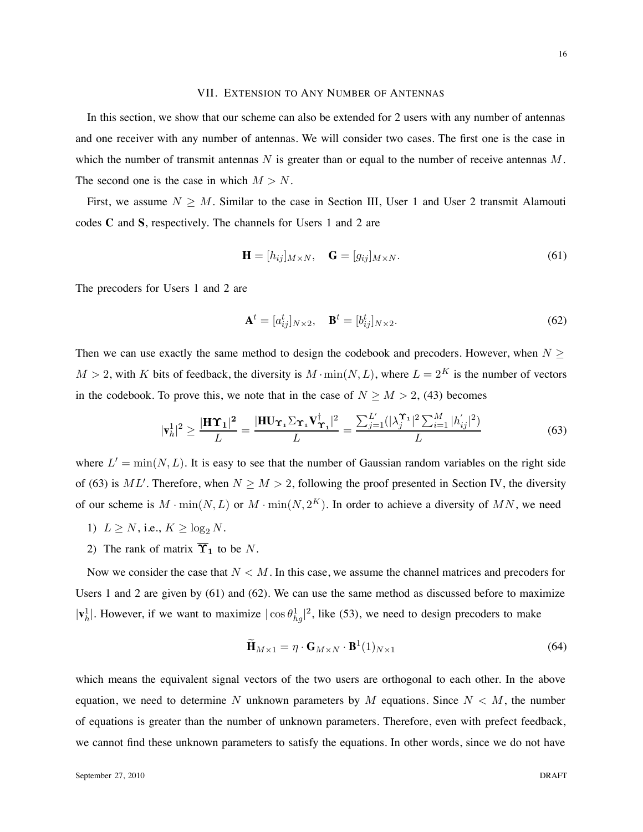#### VII. EXTENSION TO ANY NUMBER OF ANTENNAS

In this section, we show that our scheme can also be extended for 2 users with any number of antennas and one receiver with any number of antennas. We will consider two cases. The first one is the case in which the number of transmit antennas  $N$  is greater than or equal to the number of receive antennas  $M$ . The second one is the case in which  $M > N$ .

First, we assume  $N \geq M$ . Similar to the case in Section III, User 1 and User 2 transmit Alamouti codes **C** and **S**, respectively. The channels for Users 1 and 2 are

$$
\mathbf{H} = [h_{ij}]_{M \times N}, \quad \mathbf{G} = [g_{ij}]_{M \times N}.
$$
 (61)

The precoders for Users 1 and 2 are

$$
\mathbf{A}^t = [a_{ij}^t]_{N \times 2}, \quad \mathbf{B}^t = [b_{ij}^t]_{N \times 2}.
$$
 (62)

Then we can use exactly the same method to design the codebook and precoders. However, when  $N \geq$  $M > 2$ , with K bits of feedback, the diversity is  $M \cdot \min(N, L)$ , where  $L = 2<sup>K</sup>$  is the number of vectors in the codebook. To prove this, we note that in the case of  $N \ge M > 2$ , (43) becomes

$$
|\mathbf{v}_h^1|^2 \ge \frac{|\mathbf{H}\boldsymbol{\Upsilon}_1|^2}{L} = \frac{|\mathbf{H}\boldsymbol{\Upsilon}_{\boldsymbol{\Upsilon}_1}\boldsymbol{\Sigma}_{\boldsymbol{\Upsilon}_1}\mathbf{V}_{\boldsymbol{\Upsilon}_1}^\dagger|^2}{L} = \frac{\sum_{j=1}^{L'}(|\lambda_j^{\boldsymbol{\Upsilon}_1}|^2 \sum_{i=1}^{M} |h_{ij}'|^2)}{L}
$$
(63)

where  $L' = min(N, L)$ . It is easy to see that the number of Gaussian random variables on the right side of (63) is  $ML'$ . Therefore, when  $N \ge M > 2$ , following the proof presented in Section IV, the diversity of our scheme is  $M \cdot \min(N, L)$  or  $M \cdot \min(N, 2^K)$ . In order to achieve a diversity of MN, we need

- 1)  $L \geq N$ , i.e.,  $K \geq \log_2 N$ .
- 2) The rank of matrix  $\overline{\Upsilon}_1$  to be N.

Now we consider the case that  $N < M$ . In this case, we assume the channel matrices and precoders for Users 1 and 2 are given by (61) and (62). We can use the same method as discussed before to maximize  $|\mathbf{v}_h^1|$ . However, if we want to maximize  $|\cos \theta_{hg}^1|^2$ , like (53), we need to design precoders to make

$$
\widetilde{\mathbf{H}}_{M \times 1} = \eta \cdot \mathbf{G}_{M \times N} \cdot \mathbf{B}^1(1)_{N \times 1} \tag{64}
$$

which means the equivalent signal vectors of the two users are orthogonal to each other. In the above equation, we need to determine N unknown parameters by M equations. Since  $N < M$ , the number of equations is greater than the number of unknown parameters. Therefore, even with prefect feedback, we cannot find these unknown parameters to satisfy the equations. In other words, since we do not have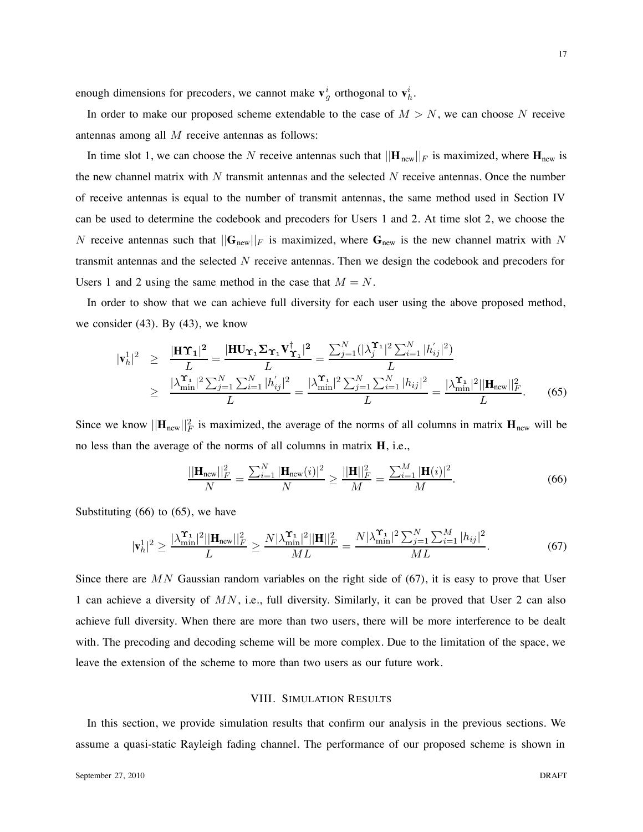enough dimensions for precoders, we cannot make  $\mathbf{v}_g^i$  orthogonal to  $\mathbf{v}_h^i$ .

In order to make our proposed scheme extendable to the case of  $M > N$ , we can choose N receive antennas among all M receive antennas as follows:

In time slot 1, we can choose the N receive antennas such that  $||\mathbf{H}_{new}||_F$  is maximized, where  $\mathbf{H}_{new}$  is the new channel matrix with  $N$  transmit antennas and the selected  $N$  receive antennas. Once the number of receive antennas is equal to the number of transmit antennas, the same method used in Section IV can be used to determine the codebook and precoders for Users 1 and 2. At time slot 2, we choose the N receive antennas such that  $||\mathbf{G}_{new}||_F$  is maximized, where  $\mathbf{G}_{new}$  is the new channel matrix with N transmit antennas and the selected N receive antennas. Then we design the codebook and precoders for Users 1 and 2 using the same method in the case that  $M = N$ .

In order to show that we can achieve full diversity for each user using the above proposed method, we consider (43). By (43), we know

$$
|\mathbf{v}_{h}^{1}|^{2} \geq \frac{|\mathbf{H}\Upsilon_{1}|^{2}}{L} = \frac{|\mathbf{H}\Upsilon_{\Upsilon_{1}}\Sigma_{\Upsilon_{1}}\mathbf{V}_{\Upsilon_{1}}^{\dagger}|^{2}}{L} = \frac{\sum_{j=1}^{N}(|\lambda_{j}^{\Upsilon_{1}}|^{2}\sum_{i=1}^{N}|h_{ij}'|^{2})}{L}
$$

$$
\geq \frac{|\lambda_{\min}^{\Upsilon_{1}}|^{2}\sum_{j=1}^{N}\sum_{i=1}^{N}|h_{ij}'|^{2}}{L} = \frac{|\lambda_{\min}^{\Upsilon_{1}}|^{2}\sum_{j=1}^{N}\sum_{i=1}^{N}|h_{ij}|^{2}}{L} = \frac{|\lambda_{\min}^{\Upsilon_{1}}|^{2}||\mathbf{H}_{\text{new}}||_{F}^{2}}{L}.
$$
(65)

Since we know  $||\mathbf{H}_{new}||_F^2$  is maximized, the average of the norms of all columns in matrix  $\mathbf{H}_{new}$  will be no less than the average of the norms of all columns in matrix **H**, i.e.,

$$
\frac{||\mathbf{H}_{\text{new}}||_F^2}{N} = \frac{\sum_{i=1}^N |\mathbf{H}_{\text{new}}(i)|^2}{N} \ge \frac{||\mathbf{H}||_F^2}{M} = \frac{\sum_{i=1}^M |\mathbf{H}(i)|^2}{M}.
$$
(66)

Substituting  $(66)$  to  $(65)$ , we have

$$
|\mathbf{v}_h^1|^2 \ge \frac{|\lambda_{\min}^{\Upsilon_1}|^2 ||\mathbf{H}_{\text{new}}||_F^2}{L} \ge \frac{N |\lambda_{\min}^{\Upsilon_1}|^2 ||\mathbf{H}||_F^2}{ML} = \frac{N |\lambda_{\min}^{\Upsilon_1}|^2 \sum_{j=1}^N \sum_{i=1}^M |h_{ij}|^2}{ML}.
$$
 (67)

Since there are  $MN$  Gaussian random variables on the right side of (67), it is easy to prove that User 1 can achieve a diversity of  $MN$ , i.e., full diversity. Similarly, it can be proved that User 2 can also achieve full diversity. When there are more than two users, there will be more interference to be dealt with. The precoding and decoding scheme will be more complex. Due to the limitation of the space, we leave the extension of the scheme to more than two users as our future work.

#### VIII. SIMULATION RESULTS

In this section, we provide simulation results that confirm our analysis in the previous sections. We assume a quasi-static Rayleigh fading channel. The performance of our proposed scheme is shown in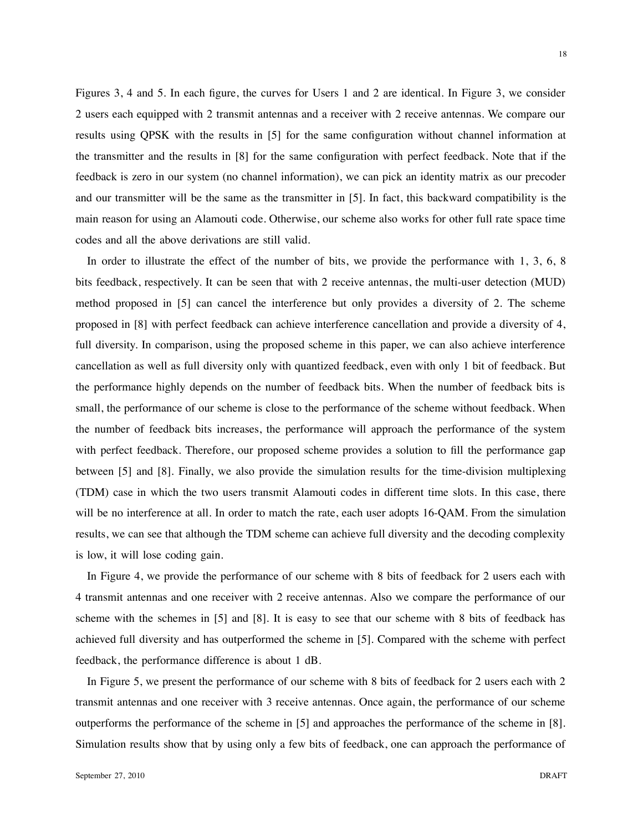Figures 3, 4 and 5. In each figure, the curves for Users 1 and 2 are identical. In Figure 3, we consider 2 users each equipped with 2 transmit antennas and a receiver with 2 receive antennas. We compare our results using QPSK with the results in [5] for the same configuration without channel information at the transmitter and the results in [8] for the same configuration with perfect feedback. Note that if the feedback is zero in our system (no channel information), we can pick an identity matrix as our precoder and our transmitter will be the same as the transmitter in [5]. In fact, this backward compatibility is the main reason for using an Alamouti code. Otherwise, our scheme also works for other full rate space time codes and all the above derivations are still valid.

In order to illustrate the effect of the number of bits, we provide the performance with 1, 3, 6, 8 bits feedback, respectively. It can be seen that with 2 receive antennas, the multi-user detection (MUD) method proposed in [5] can cancel the interference but only provides a diversity of 2. The scheme proposed in [8] with perfect feedback can achieve interference cancellation and provide a diversity of 4, full diversity. In comparison, using the proposed scheme in this paper, we can also achieve interference cancellation as well as full diversity only with quantized feedback, even with only 1 bit of feedback. But the performance highly depends on the number of feedback bits. When the number of feedback bits is small, the performance of our scheme is close to the performance of the scheme without feedback. When the number of feedback bits increases, the performance will approach the performance of the system with perfect feedback. Therefore, our proposed scheme provides a solution to fill the performance gap between [5] and [8]. Finally, we also provide the simulation results for the time-division multiplexing (TDM) case in which the two users transmit Alamouti codes in different time slots. In this case, there will be no interference at all. In order to match the rate, each user adopts 16-QAM. From the simulation results, we can see that although the TDM scheme can achieve full diversity and the decoding complexity is low, it will lose coding gain.

In Figure 4, we provide the performance of our scheme with 8 bits of feedback for 2 users each with 4 transmit antennas and one receiver with 2 receive antennas. Also we compare the performance of our scheme with the schemes in [5] and [8]. It is easy to see that our scheme with 8 bits of feedback has achieved full diversity and has outperformed the scheme in [5]. Compared with the scheme with perfect feedback, the performance difference is about 1 dB.

In Figure 5, we present the performance of our scheme with 8 bits of feedback for 2 users each with 2 transmit antennas and one receiver with 3 receive antennas. Once again, the performance of our scheme outperforms the performance of the scheme in [5] and approaches the performance of the scheme in [8]. Simulation results show that by using only a few bits of feedback, one can approach the performance of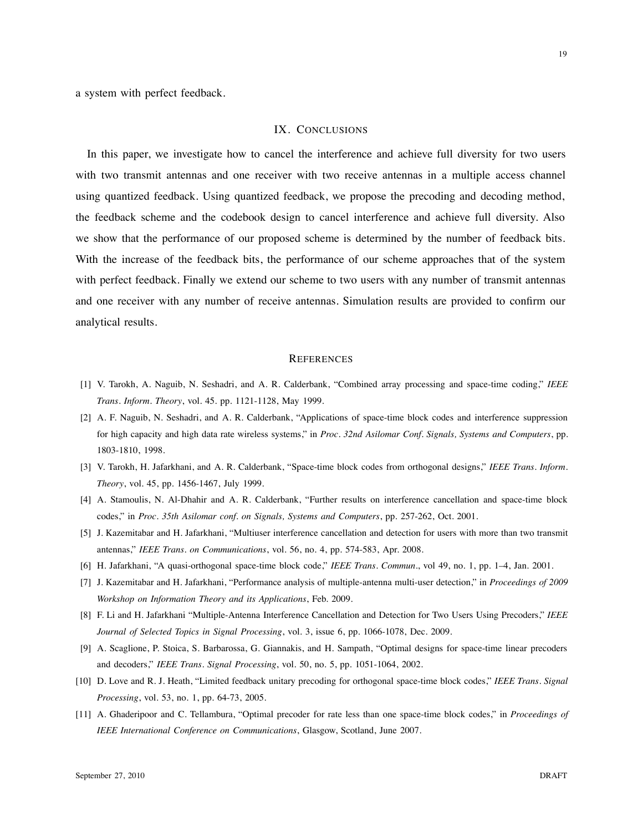a system with perfect feedback.

#### IX. CONCLUSIONS

In this paper, we investigate how to cancel the interference and achieve full diversity for two users with two transmit antennas and one receiver with two receive antennas in a multiple access channel using quantized feedback. Using quantized feedback, we propose the precoding and decoding method, the feedback scheme and the codebook design to cancel interference and achieve full diversity. Also we show that the performance of our proposed scheme is determined by the number of feedback bits. With the increase of the feedback bits, the performance of our scheme approaches that of the system with perfect feedback. Finally we extend our scheme to two users with any number of transmit antennas and one receiver with any number of receive antennas. Simulation results are provided to confirm our analytical results.

#### **REFERENCES**

- [1] V. Tarokh, A. Naguib, N. Seshadri, and A. R. Calderbank, "Combined array processing and space-time coding," *IEEE Trans. Inform. Theory*, vol. 45. pp. 1121-1128, May 1999.
- [2] A. F. Naguib, N. Seshadri, and A. R. Calderbank, "Applications of space-time block codes and interference suppression for high capacity and high data rate wireless systems," in *Proc. 32nd Asilomar Conf. Signals, Systems and Computers*, pp. 1803-1810, 1998.
- [3] V. Tarokh, H. Jafarkhani, and A. R. Calderbank, "Space-time block codes from orthogonal designs," *IEEE Trans. Inform. Theory*, vol. 45, pp. 1456-1467, July 1999.
- [4] A. Stamoulis, N. Al-Dhahir and A. R. Calderbank, "Further results on interference cancellation and space-time block codes," in *Proc. 35th Asilomar conf. on Signals, Systems and Computers*, pp. 257-262, Oct. 2001.
- [5] J. Kazemitabar and H. Jafarkhani, "Multiuser interference cancellation and detection for users with more than two transmit antennas," *IEEE Trans. on Communications*, vol. 56, no. 4, pp. 574-583, Apr. 2008.
- [6] H. Jafarkhani, "A quasi-orthogonal space-time block code," *IEEE Trans. Commun.*, vol 49, no. 1, pp. 1–4, Jan. 2001.
- [7] J. Kazemitabar and H. Jafarkhani, "Performance analysis of multiple-antenna multi-user detection," in *Proceedings of 2009 Workshop on Information Theory and its Applications*, Feb. 2009.
- [8] F. Li and H. Jafarkhani "Multiple-Antenna Interference Cancellation and Detection for Two Users Using Precoders," *IEEE Journal of Selected Topics in Signal Processing*, vol. 3, issue 6, pp. 1066-1078, Dec. 2009.
- [9] A. Scaglione, P. Stoica, S. Barbarossa, G. Giannakis, and H. Sampath, "Optimal designs for space-time linear precoders and decoders," *IEEE Trans. Signal Processing*, vol. 50, no. 5, pp. 1051-1064, 2002.
- [10] D. Love and R. J. Heath, "Limited feedback unitary precoding for orthogonal space-time block codes," *IEEE Trans. Signal Processing*, vol. 53, no. 1, pp. 64-73, 2005.
- [11] A. Ghaderipoor and C. Tellambura, "Optimal precoder for rate less than one space-time block codes," in *Proceedings of IEEE International Conference on Communications*, Glasgow, Scotland, June 2007.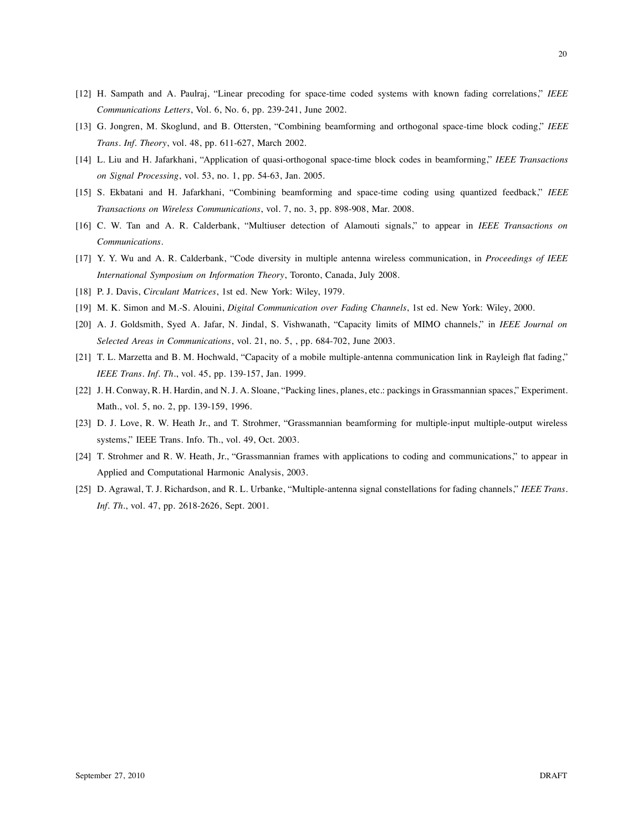- [12] H. Sampath and A. Paulraj, "Linear precoding for space-time coded systems with known fading correlations," *IEEE Communications Letters*, Vol. 6, No. 6, pp. 239-241, June 2002.
- [13] G. Jongren, M. Skoglund, and B. Ottersten, "Combining beamforming and orthogonal space-time block coding," *IEEE Trans. Inf. Theory*, vol. 48, pp. 611-627, March 2002.
- [14] L. Liu and H. Jafarkhani, "Application of quasi-orthogonal space-time block codes in beamforming," *IEEE Transactions on Signal Processing*, vol. 53, no. 1, pp. 54-63, Jan. 2005.
- [15] S. Ekbatani and H. Jafarkhani, "Combining beamforming and space-time coding using quantized feedback," *IEEE Transactions on Wireless Communications*, vol. 7, no. 3, pp. 898-908, Mar. 2008.
- [16] C. W. Tan and A. R. Calderbank, "Multiuser detection of Alamouti signals," to appear in *IEEE Transactions on Communications*.
- [17] Y. Y. Wu and A. R. Calderbank, "Code diversity in multiple antenna wireless communication, in *Proceedings of IEEE International Symposium on Information Theory*, Toronto, Canada, July 2008.
- [18] P. J. Davis, *Circulant Matrices*, 1st ed. New York: Wiley, 1979.
- [19] M. K. Simon and M.-S. Alouini, *Digital Communication over Fading Channels*, 1st ed. New York: Wiley, 2000.
- [20] A. J. Goldsmith, Syed A. Jafar, N. Jindal, S. Vishwanath, "Capacity limits of MIMO channels," in *IEEE Journal on Selected Areas in Communications*, vol. 21, no. 5, , pp. 684-702, June 2003.
- [21] T. L. Marzetta and B. M. Hochwald, "Capacity of a mobile multiple-antenna communication link in Rayleigh flat fading," *IEEE Trans. Inf. Th.*, vol. 45, pp. 139-157, Jan. 1999.
- [22] J. H. Conway, R. H. Hardin, and N. J. A. Sloane, "Packing lines, planes, etc.: packings in Grassmannian spaces," Experiment. Math., vol. 5, no. 2, pp. 139-159, 1996.
- [23] D. J. Love, R. W. Heath Jr., and T. Strohmer, "Grassmannian beamforming for multiple-input multiple-output wireless systems," IEEE Trans. Info. Th., vol. 49, Oct. 2003.
- [24] T. Strohmer and R. W. Heath, Jr., "Grassmannian frames with applications to coding and communications," to appear in Applied and Computational Harmonic Analysis, 2003.
- [25] D. Agrawal, T. J. Richardson, and R. L. Urbanke, "Multiple-antenna signal constellations for fading channels," *IEEE Trans. Inf. Th.*, vol. 47, pp. 2618-2626, Sept. 2001.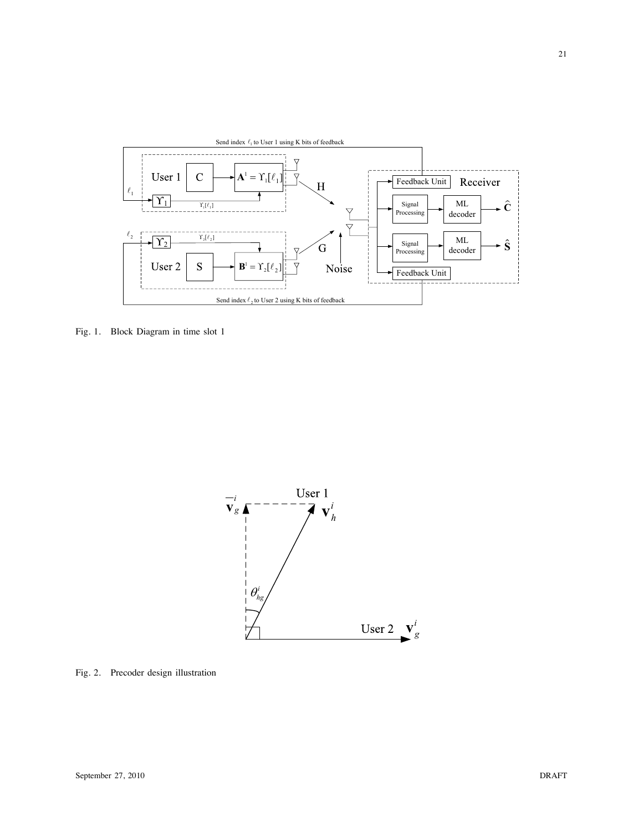

Fig. 1. Block Diagram in time slot 1



Fig. 2. Precoder design illustration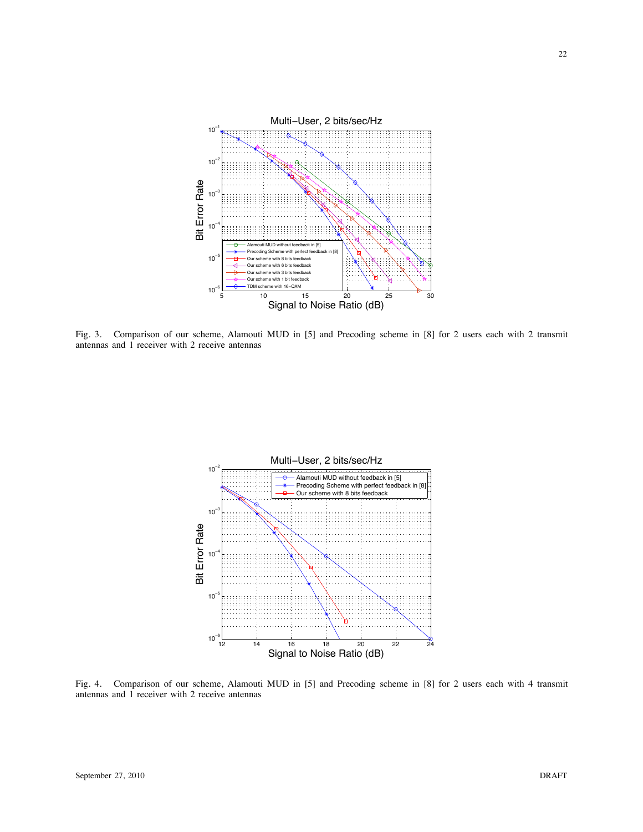

Fig. 3. Comparison of our scheme, Alamouti MUD in [5] and Precoding scheme in [8] for 2 users each with 2 transmit antennas and 1 receiver with 2 receive antennas



Fig. 4. Comparison of our scheme, Alamouti MUD in [5] and Precoding scheme in [8] for 2 users each with 4 transmit antennas and 1 receiver with 2 receive antennas